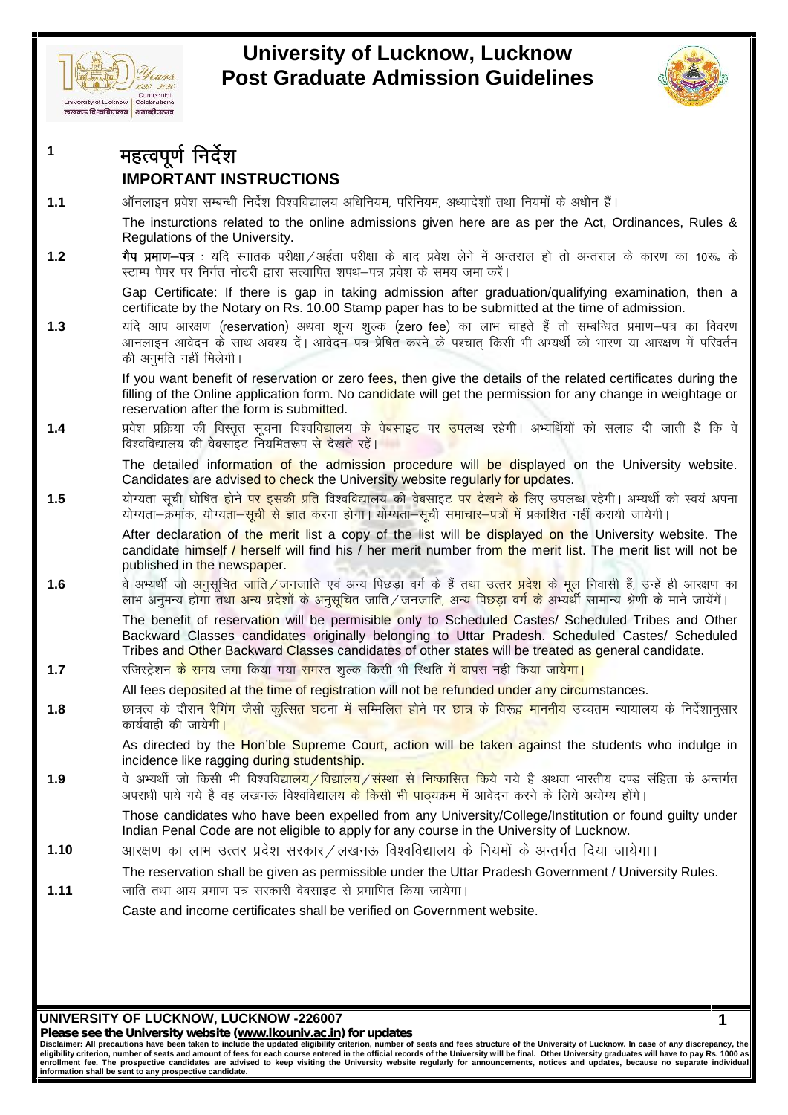



**1**

# Editor of **Luch Development Containers**<br> **1 eggal and Strange Post Graduate Adm**<br> **1 expression containers** and accept<br> **1 expression of Equal Accept**<br> **11 expression in the CRIANT INSTRUCTIONS**<br> **1.1** अनिलाइन प्रय **IMPORTANT INSTRUCTIONS**

<del>लेलन प्रायतालय | शाखाउलन</del><br>1 **- महत्वपूर्ण निर्देश**<br>**1.1** - ऑनलाइन प्रवेश सम्बन्धी निर्देश विश्वविद्यालय अधिनियम, परिनियम, अध्यादेशों तथा नियमों के अधीन हैं।<br>The insturctions related to the online admissions given here ar The insturctions related to the online admissions given here are as per the Act, Ordinances, Rules & Regulations of the University.

**1.2 xSi çek.k&i=** % ;fn Lukrd ijh{kk@vg Zrk ijh{kk ds ckn ços'k ysus eas vUrjky gks rk s vUrjky ds dkj.k dk 10:ñ ds INIF UN LAINT INSTRUCTIONS<br>ऑनलाइन प्रवेश सम्बन्धी निर्देश विश्वविद्यालय अधिनियम, परिनियम, अध्यादेशों तथा नियमों के अधीन हैं।<br>The insturctions related to the online admissions given here are as per the Act, Ordinances, Rul

certificate by the Notary on Rs. 10.00 Stamp paper has to be submitted at the time of admission.

**1.3** ;fn vki vkj{k.k <sup>¼</sup>reservation½ vFkok 'kwU; 'k qYd ¼zero fee½ dk YkkHk pkgrs g Sa rk s lEcfU/kr çek.k&i= dk fooj.k गैप प्रमाण–पत्र : यदि स्नातक परीक्षा/अर्हता परीक्षा के बाद प्रवेश लेने में अन्तराल हो तो अन्तराल के कारण का 10रू. के<br>स्टाम्प पेपर पर निर्गत नोटरी द्वारा सत्यापित शपथ–पत्र प्रवेश के समय जमा करें।<br>Gap Certificate: If there स्टाम्प पेपर पर निर्गत नोटरी द्वारा सत्यापित शप<br>Gap Certificate: If there is gap in ta<br>certificate by the Notary on Rs. 10.00 S<br>यदि आप आरक्षण (reservation) अथवा शून्य<br>आनलाइन आवेदन के साथ अवश्य दें। आवेदन<br>की अनुमति नहीं मि

If you want benefit of reservation or zero fees, then give the details of the related certificates during the filling of the Online application form. No candidate will get the permission for any change in weightage or  $\parallel$ reservation after the form is submitted. आनलाइन आवेदन के साथ अवश्य दें | आवेदन पत्र प्रेषित करने के पश्चात् किसी भी अभ्यर्थी को भारण या आरक्षण में परिवर्तन<br>की अनुमति नहीं मिलेगी |<br>
If you want benefit of reservation or zero fe<mark>es, then give the details of the re</mark> की अनुमति नहीं मिलेगी |<br>| If you want benefit of reservation or zero fe<mark>es, t</mark>hen give the defilling of the Online application form. No candidate will get the preservation after the form is submitted.<br>| प्रवेश|| प्रक्रिया

The detailed information of the admission procedure will be displayed on the University website. Candidates are advised to check the University website regularly for updates. प्रवेश प्रक्रिया की विस्तृत सूचना विश्वविद्यालय के वेबसाइट पर उपलब्ध रहेगी। अभ्यर्थियों को सलाह दी जाती है कि वे<br>विश्वविद्यालय की वेबसाइट नियमितरूप से देखते रहें।<br>The detailed information of the admission procedure will b

reservation after the form is submitted.<br>
1.4 yaar प्रक्रिया की विस्तृत सूचना विश्वविद्यालय के वेबसाइट पर उपलब्ध रहेगी। अभ्यर्थियों को सलाह दी जाती है कि वे<br>
विश्वविद्यालय की वेबसाइट नियमितरूप से देखते रहें।<br>
The detailed

After declaration of the merit list a copy of the list will be displayed on the University website. The candidate himself / herself will find his / her merit number from the merit list. The merit list will not be  $\parallel$ published in the newspaper. 1.5 योग्यता सूची घोषित होने <mark>पर इसकी प्रति</mark> विश्वविद्यालय की वेबसाइट <mark>पर देखने के</mark> लिए उपलब्ध रहेगी। अभ्यर्थी को स्वयं अपना योग्यता—सूची से ज्ञात करना होगा। योग्यता—सूची समाचार—पत्रों में प्रकाशित नहीं करायी जायेगी।<br>After योग्यता—क्रमांक, योग्य<mark>ता—सूची से ज्ञात क</mark>रना होगा। योग्यता—सूची समाचार—पत्नों में प्रकाशित नहीं करायी जायेगी।<br>After declaration of the merit list a copy of the list will be displayed on the University website. The<br>candid

The benefit of reservation will be permisible only to Scheduled Castes/ Scheduled Tribes and Other Backward Classes candidates originally belonging to Uttar Pradesh. Scheduled Castes/ Scheduled Tribes and Other Backward Classes candidates of other states will be treated as general candidate. 1.6 वे अभ्यर्थी जो अनुसूचित जाति / जनजाति एवं अन्य पिछड़ा वर्ग के हैं तथा उत्तर प्रदेश के मूल निवासी लाभ अनुमन्य होगा तथा अन्य प्रदेशों के अनुसूचित जाति / जनजाति, अन्य पिछड़ा वर्ग के अभ्यर्थी सामान्य<br>The benefit of reserv The benefit of reservation will be permisible only to Scheduled Castes/ Scheduled Tribes and Other Backward Classes candidates originally belonging to Uttar Pradesh. Scheduled Castes/ Scheduled Tribes and Other Backward C

- 
- All fees deposited at the time of registration will not be refunded under any circumstances.
- कार्यवाही की जाये<mark>गी।</mark> All fees deposited at the time of registration will not be refunded under any circumstances.<br> **1.8** by a start of the students for the students of the Hon'ble Supreme Court, action will be taken against the students who i

As directed by the Hon'ble Supreme Court, action will be taken against the students who indulge in  $\parallel$ incidence like ragging during studentship.

रात्रत्व के दौरान रैगिंग जैसी कुत्सित घटना में सम्मिलित होने पर <mark>छात्र</mark> के विरूद्ध माननीय उच्चतम न्यायालय के निर्देशानुसार<br>As directed by the Hon'ble Supreme Court, action will be taken against the students who indulge in incidence like ragging during studentship.<br>
incidence like ragging during studentship.<br>
ये अभ्यर्थी जो किसी भी विश्वविद्यालय / विद्यालय / संस्था से निष्कासित किये गये है अथवा भारतीय दण्ड संहिता के अपराधी पाये गये है वह लख

Those candidates who have been expelled from any University/College/Institution or found guilty under Indian Penal Code are not eligible to apply for any course in the University of Lucknow.

The reservation shall be given as permissible under the Uttar Pradesh Government / University Rules.

Those candidates who have been expelled from any University/C<br>Indian Penal Code are not eligible to apply for any course in the Ur<br>31.10 अरक्षण का लाभ उत्तर प्रदेश सरकार / लखनऊ विश्वविद्यालय के नियमो<br>The reservation shall Caste and income certificates shall be verified on Government website.

**UNIVERSITY OF LUCKNOW, LUCKNOW -226007**

*Please see the University website (www.lkouniv.ac.in) for updates*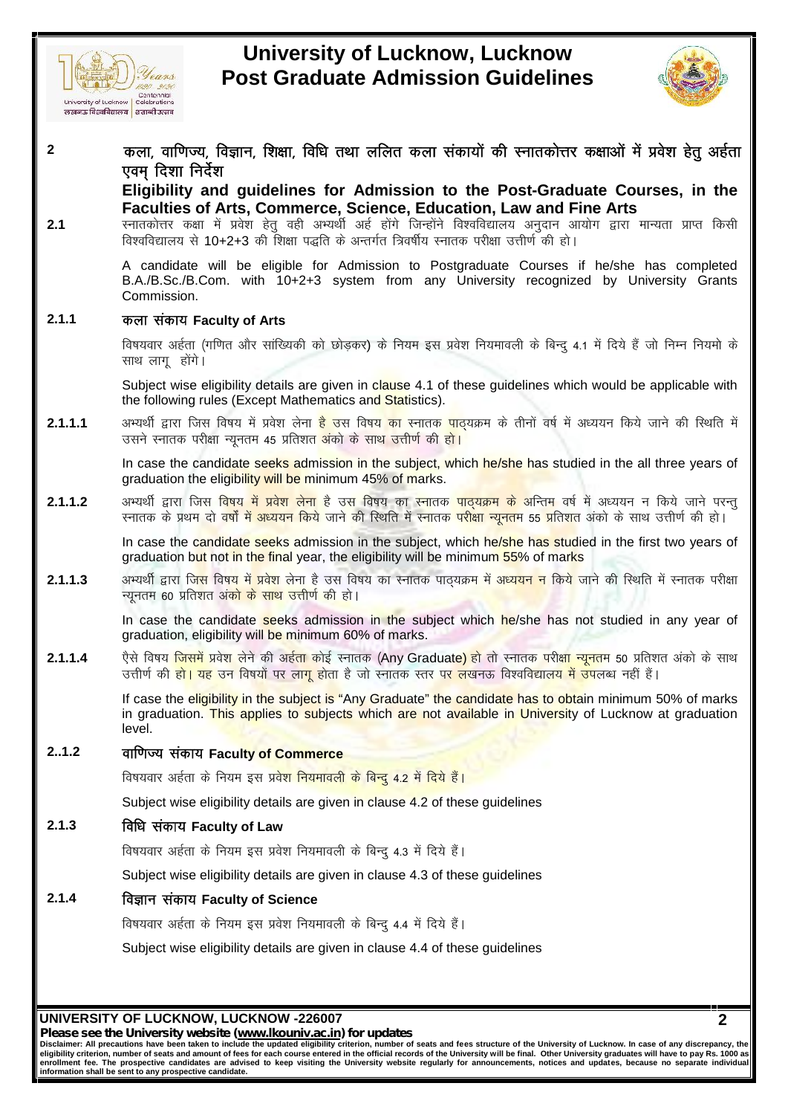



**2 because of Eucknow, Lucknow**<br> **Post Graduate Admission Guidelines**<br> **and Configuration**<br> **2 dyck distribuility** and quidelines for Admission to the Post-Graduate Courses, in the<br>
Fligibility and quidelines for Admis **) তোষেত্রতে সম্প্রান্ত সম্প্রবাদিক সম্প্রবাদিক বিয়া সম্প্রান্ত সম্প্রবাদিক বিয়া কলা, বাণিতয়, বিল্লান, যিক্ষা, বিঘি নেয়া<br>কলা, বাণিতয়, বিল্লান, যিক্ষা, বিঘি নেয়া<br>ড়বন্ বিয়া নির্বরা<br>Eligibility and guidelines for A** र कला, वाणिज्य, विज्ञान, शिक्षा, विधि तथा ललित कला संकायों की स्नातकोत्तर कक्षाओं में प्रवेश हेतु अर्हता<br>एवम् दिशा निर्देश<br>Eligibility and guidelines for Admission to the Post-Graduate Courses, in the<br>Faculties of Arts, C

**Eligibility and guidelines for Admission to the Post-Graduate Courses, in the**

**Faculties of Arts, Commerce, Science, Education, Law and Fine Arts**

कला, वाणिज्य, विज्ञान, शिक्षा, विधि तथा लीलंत केली सकायी की स्नीतकीत्तर कक्षीओ में प्रवश हुतु अहता<br>Earligibility and guidelines for Admission to the Post-Graduate Courses, in the<br>Figuility and guidelines for Admission to n B.A./B.Sc./B.Com. with 10+2+3 system from any University recognized by University Grants<br>
Commission.<br> **कला संकाय Faculty of Arts**<br>विषयवार अर्हता (गणित और सांख्यिकी को छोड़कर) के नियम इस प्रवेश नियमावली के बिन्दु 4.1 मे Commission. **2.1.1 dyk l adk; Faculty of Arts**

Subject wise eligibility details are given in clause 4.1 of these guidelines which would be applicable with the following rules (Except Mathematics and Statistics). विषयवार अर्हता (गणित और सांख्यिकी को छोड़कर) के नियम इस प्रवेश नियमावली के बिन्दु 4.1 में दिये हैं जो निम्न नियमो के<br>साथ लागू होंगे।<br>Subject wise eligibility details are given in c<mark>laus</mark>e 4.1 of these guidelines which wou

विषयवार अईता (गणित और सांख्यिकी को छोड़कर) के नियम इस प्रवेश नियमावली के बिन्दु 4.1 में दिये हैं जो निम्न नियमो के<br>साथ लागू होंगे।<br>Subject wise eligibility details are given in c<mark>laus</mark>e 4.1 of these guidelines which would **2.1.1.2** vH;Fkh Z }kjk ftl fo"k; esa ços'k ysuk g S ml fo"k; dk Lukrd ikB~;Øe ds vfUre o"k Z esa v/;;u u fd; s tkus ijUr q

In case the candidate seeks admission in the subject, which he/she has studied in the all three years of graduation the eligibility will be minimum 45% of marks. In case the candidate seeks admission in the subject, which he/she has studied in the all three years of graduation the eligibility will be minimum 45% of marks.<br>are the candidate seeks admission in the subject, which he/s

In case the candidate seeks admission in the subject, which he/she has studied in the first two years of graduation but not in the final year, the eligibility will be minimum 55% of marks अभ्यर्थी द्वारा जिस विषय <mark>में प्रवेश लेना</mark> है उस विषय का स्नातक <mark>पाद्यक्रम के अन्तिम</mark> वर्ष में अध्ययन न किये जाने परन्तु<br>स्नातक के प्रथम दो वर्षों में अध्ययन किये जाने की स्थिति में स्नातक परीक्षा न्यूनतम 55 प्रतिशत अंको

2.1.1.2 अभ्यर्थी द्वारा जिस विषय में प्रवेश लेना है उस विषय का स्नातक <mark>पाद्यक्रम के</mark> अन्तिम वर्ष में अध्ययन न किये जाने परन्तु<br>रनातक के प्रथम दो वर्षों में अध्ययन किये जाने की स्थिति में स्नातक प<mark>रीक्षा न्यूनत</mark>म 55 प्रतिश 2.1.1.3 अभ्यर्थी द्वारा जि<mark>स विषय में प्रवेश लेना है उस विषय का स्नातक पाद्यक्रम में अध्ययन न किये जाने की स्थिति में स्नातक परीक्षा<br>न्यूनतम 60 प्रतिशत अं<mark>को के साथ उत्तीर्ण की हो।</mark><br>In case the candidate seeks admission i</mark>

In case the candidate seeks admission in the subject which he/she has not studied in any year of graduation, eligibility will be minimum 60% of marks.

एैसे विषय <mark>जिसमें प्रवेश लेने की अईता कोई स्नातक (Any Graduate) हो तो स्नातक परीक्षा न्यूनतम 50 प्रतिशत अंको के साथ<br>उत्तीर्ण की <mark>हो। यह</mark> उन विषयों पर ला<mark>ग ह</mark>ोता है जो स्नातक स्तर <mark>पर ल</mark>खनऊ विश्वविद्यालय में उपलब्ध नहीं है</mark>

If case the eligibility in the subject is "Any Graduate" the candidate has to obtain minimum 50% of marks in graduation. This applies to subjects which are not available in University of Lucknow at graduation  $\parallel$ level. **2..1.2 okf.kT; l adk; Faculty of Commerce** If case the <mark>eligibility in the subject is "</mark>Any Graduate" the candidate has to obta<br>in graduation. This applies to subjects which are not available in University<br>level.<br>वाणिज्य संकाय Faculty of Commerce<br>विषयवार अर्हता के

level.<br>2..1.2 **for all and the set of Commerce**<br>विषयवार अर्डता के नियम इस प्रवेश नियमावली के<br>Subject wise eligibility details are given in<br>2.1.3 **विधि संकाय Faculty of Law**<br>विषयवार अर्डता के नियम इस प्रवेश नियमावली के

Subject wise eligibility details are given in clause 4.2 of these guidelines विषयवार अर्हता के नियम इस प्रवेश नियमावली के बिन्दु 4.2 में दिये हैं।<br>Subject wise eligibility details are given in clause 4.2 of these guidelines<br>विधि संकाय Faculty of Law<br>विषयवार अर्हता के नियम इस प्रवेश नियमावली के बिन

Subject wise eligibility details are given in clause 4.3 of these guidelines

# **2.1.4 foKku l adk; Faculty of Science**

विषयवार अर्हता के नियम इस प्रवेश नियमावली के बिन्दु 4.3 में दिये हैं।<br>Subject wise eligibility details are given in clause 4.3 of these guidelines<br>विज्ञान संकाय Faculty of Science<br>विषयवार अर्हता के नियम इस प्रवेश नियमावली Subject wise eligibility details are given in clause 4.4 of these guidelines

### **UNIVERSITY OF LUCKNOW, LUCKNOW -226007**

*Please see the University website (www.lkouniv.ac.in) for updates*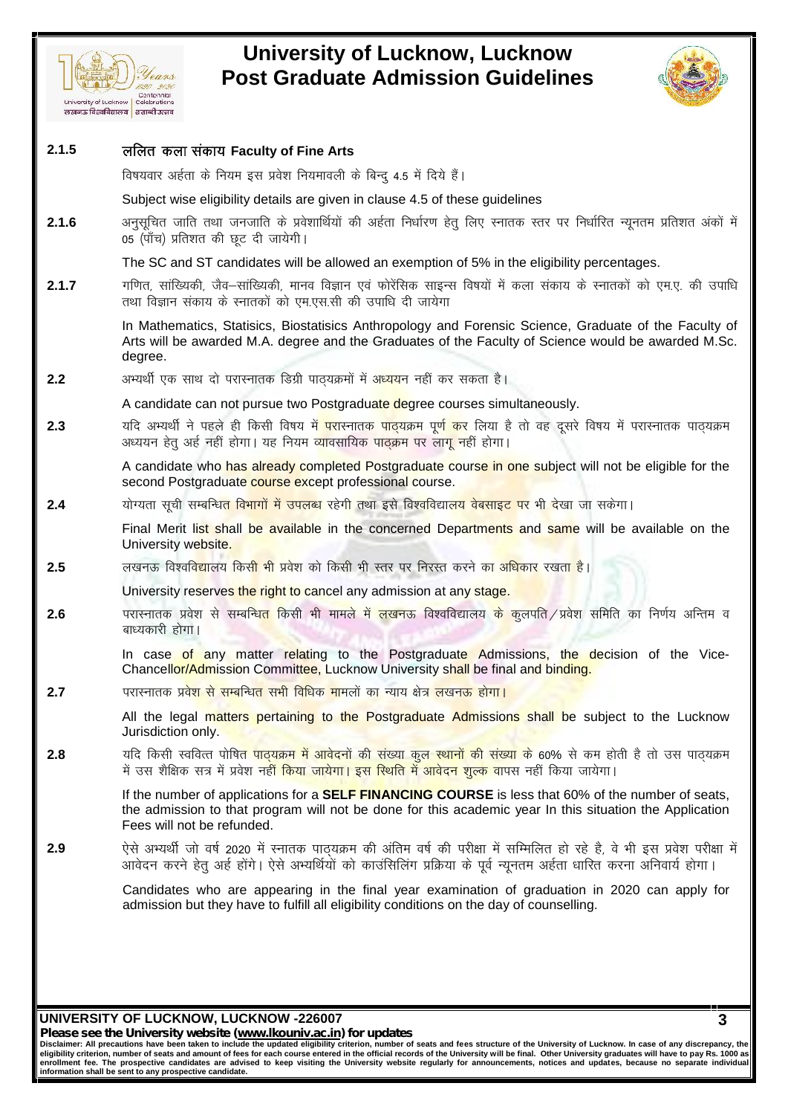



### **UNIVERSITY OF LUCKNOW, LUCKNOW -226007 3 2.1.5 of Europe of Europe Artical Contentions**<br> *Post Graduate Adr*<br> **2.1.5** ललित कला संकाय Faculty of Fine Arts<br> **advants discriming**<br> **advants weight of Fine Arts**<br> **advants weight of Fine Arts** *Carteminal*<br>
Celebrations<br> **The Carteminal Scape of Search of Search of Search Condensation**<br>
<br>
विषयवार अर्हता के नियम इस प्रवेश नियमावली के बिन्दु 4.5 में दिये हैं |<br>Subject wise eligibility details are given in clause 4 Subject wise eligibility details are given in clause 4.5 of these guidelines 2.1.5 **or The Faculty of Fine Arts**<br>विषयवार अर्हता के नियम इस प्रवेश नियमावली के बिन्दु 4.5 में दिये हैं।<br>Subject wise eligibility details are given in clause 4.5 of these guidelines<br>2.1.6 अनुसूचित जाति तथा जनजाति के प्रव 05 (पाँच) प्रतिशत की छूट दी जायेगी। The SC and ST candidates will be allowed an exemption of 5% in the eligibility percentages. Subject wise eligibility details are given in clause 4.5 of these guidelines<br>
2.1.6 अनुसूचित जाति तथा जनजाति के प्रवेशार्थियों की अर्हता निर्धारण हेतु लिए स्नातक स्तर पर निर्धारित न्यूनतम प्रतिशत अंकों में<br>
05 (पाँच) प्रत अनुसूचित जाति तथा जनजाति के प्रवेशार्थियों की अर्हता निर्धारण हेतु हि<br>05 (पॉंच) प्रतिशत की छूट दी जायेगी।<br>The SC and ST candidates will be allowed an exemption of :<br>गणित, सांख्यिकी, जैव–सांख्यिकी, मानव विज्ञान एवं फोरेंसि In Mathematics, Statisics, Biostatisics Anthropology and Forensic Science, Graduate of the Faculty of Arts will be awarded M.A. degree and the Graduates of the Faculty of Science would be awarded M.Sc. degree. entry, Kinestar, Site Kinestar, First Tetaph (Stephen Report Field, New York and the Stephen Report Field of Science, Graduate Arts will be awarded M.A. degree and the Graduates of the Faculty of Science would degree.<br>2.2 A candidate can not pursue two Postgraduate degree courses simultaneously. Arts will be awarded M.A. degree and the Graduates of the Faculty of Science would be awarded M.Sc.<br>degree.<br>2.2 अभ्यर्थी एक साथ दो परास्नातक डिग्री पाठ्यक्रमों में अ<mark>ध्ययन</mark> नहीं कर सकता है।<br>2.3 यदि अभ्यर्थी ने पहले ही किस degree.<br>अभ्यर्थी एक साथ दो परास्नातक डिग्री पाठ्यक्रमों में अ<mark>ध्यय</mark>न नहीं कर सकता है।<br>A candidate can not pursue two Postgradu<mark>ate de</mark>gree courses simultaneously.<br>यदि अभ्यर्थी ने पहले ही किसी विषय मे<mark>ं परा</mark>स्नातक <mark>पाठ्यक्</mark> A candidate who has already completed Postgraduate course in one subject will not be eligible for the second Postgraduate course except professional course. 1.3 यदि अभ्यर्थी ने पहले ही किसी विषय मे<mark>ं प</mark>रास्नातक <mark>पाठ्यक्रम पूर्ण क</mark>र लिया है तो वह दूसरे विषय में परास्नातव<br>अध्ययन हेतु अर्ह नहीं होगा। यह नियम व्यावसायिक पाठ्क्रम पर लागू नहीं होगा।<br>Second Postgraduate course excep Final Merit list shall be available in the concerned Departments and same will be available on the University website. second Postgraduate course except professional course.<br>2.4 योग्यता सूची सम्बन्धि<mark>त विभागों में उपलब्ध</mark> रहेगी तथा इसे बिश्वविद्यालय वेबसाइट पर भी देखा जा सकेगा।<br>Final Merit li<mark>st shall be available</mark> in the concerned Depart University reserves the right to cancel any admission at any stage. **2.6** परास्नातक प्रवेश से सम्बन्धित किसी भी मामले में <mark>लखन</mark>ऊ विश्वविद्यालय के कुलपति ⁄ प्रवेश समिति का निर्णय अन्तिम व बाध्यकारी होगा। In case of any matter relating to the Postgraduate Admissions, the decision of the Vice-Chancellor/Admission Committee, Lucknow University shall be final and binding. 1.6 परास्नातक प्रवेश से सम्बन्धि<mark>त किसी भी मामले में लखनऊ विश्वविद्यालय के कुलपति</mark><br>बाध्यकारी होगा।<br>In case of any matter relating to the Postgraduate Admissions,<br>Chancello<mark>r/Admission Committee, Lucknow University shall b</mark> All the legal matters pertaining to the Postgraduate Admissions shall be subject to the Lucknow  $\; \parallel \;$ Jurisdiction only. Chancell<mark>or/Admission Committee, Lucknow University shall be final and binding.<br>2.7 परास्नातक प्रवेश से सम्बन्धित सभी विधिक मामलों का न्याय क्षेत्र लखनऊ होगा।<br>All the legal matters pertaining to the Postgraduate Admissio</mark> परास्नातक प्रवेश से सम्बन्धित सभी विधिक मामलों का न्याय क्षेत्र <mark>लखनऊ होगा।</mark><br>All the legal matters pertaining to the Postgraduate Admissions shall be subject to the<br>Jurisdiction only.<br>में उस शैक्षिक सत्र में प्रवेश नहीं <mark></mark> If the number of applications for a **SELF FINANCING COURSE** is less that 60% of the number of seats, the admission to that program will not be done for this academic year In this situation the Application Fees will not be refunded. 2.8 याद किसी स्वावत्त पापित पाद्यक्रम में आवदनी की संख्या कुल स्थानी की संख्या के 60% से कम होती है तो उस पाद्यक्रम<br>मैं उस शैक्षिक सत्र में प्रवेश नहीं <mark>किया जायेगा। इस स्थिति मैं आवेदन शुल्क वाप</mark>स नहीं किया जायेगा।<br>If th में उस शैक्षिक सत्र में प्रवेश नही<mark>ं किया जायेगा। इस स्थिति में आवेदन शुल्क वा</mark>पस नहीं किया जायेगा।<br>If the number of applications for a **SELF FINANCING COURSE** is less that 60% of the number of seats,<br>the admission to tha Candidates who are appearing in the final year examination of graduation in 2020 can apply for admission but they have to fulfill all eligibility conditions on the day of counselling.

*Please see the University website (www.lkouniv.ac.in) for updates*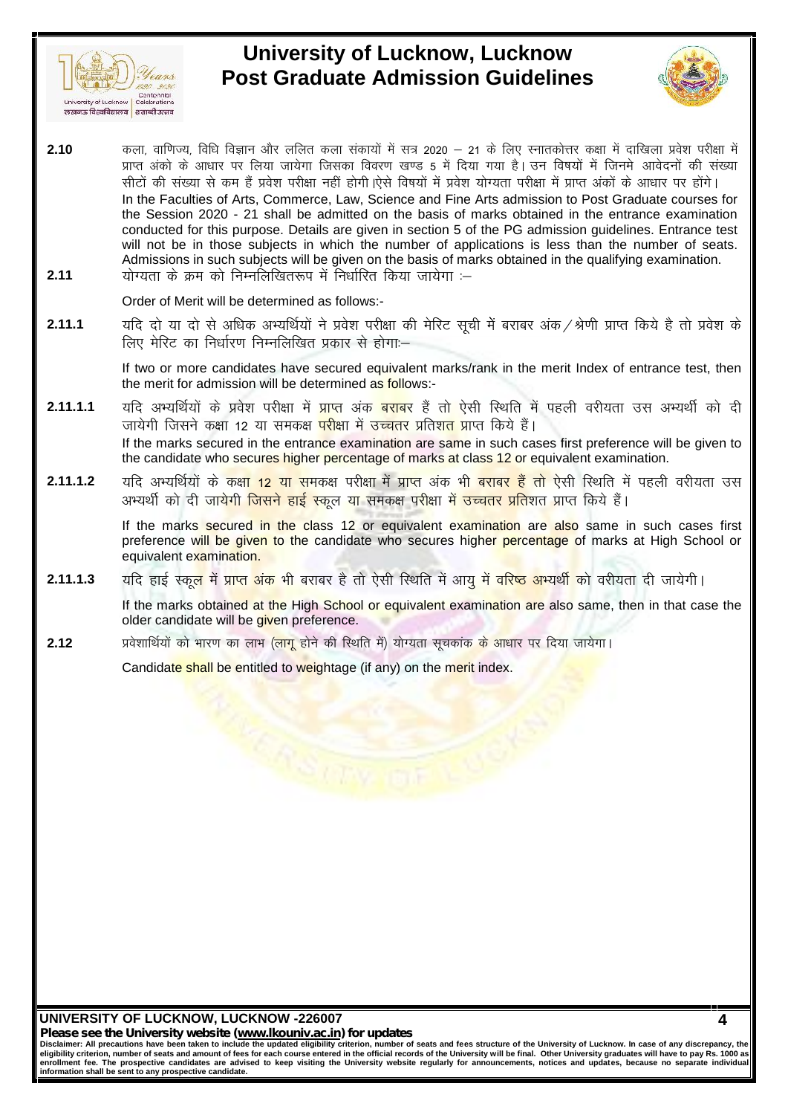



**2.10** degral of the same of the same of the same of the same of the same of the same of the same of the same of the same of the same of the same of the same of the same of the same of the same of the same of the same of t  $\frac{1}{\sqrt{\frac{G_{\text{C}}\mathcal{L}_{\text{C}}\mathcal{L}_{\text{C}}\mathcal{L}_{\text{C}}\mathcal{L}_{\text{C}}\mathcal{L}_{\text{C}}\mathcal{L}_{\text{C}}\mathcal{L}_{\text{C}}\mathcal{L}_{\text{C}}\mathcal{L}_{\text{C}}\mathcal{L}_{\text{C}}\mathcal{L}_{\text{C}}\mathcal{L}_{\text{C}}\mathcal{L}_{\text{C}}\mathcal{L}_{\text{C}}\mathcal{L}_{\text{C}}\mathcal{L}_{\text{C}}\mathcal{L}_{\text{C}}\mathcal{L}_{\text{C}}\mathcal{$ l University of Lucknow | Celebrations<br>| University of Lucknow | Celebrations<br>| The grams ReadRetian | 2013| 2014| 2020| 21 के लिए स्नातकोत्तर कक्षा में दाखिला प्रवेश परीक्षा में<br>| प्राप्त अंको के आधार पर लिया जायेगा जिसक In the Faculties of Arts, Commerce, Law, Science and Fine Arts admission to Post Graduate courses for the Session 2020 - 21 shall be admitted on the basis of marks obtained in the entrance examination conducted for this purpose. Details are given in section 5 of the PG admission guidelines. Entrance test will not be in those subjects in which the number of applications is less than the number of seats. Admissions in such subjects will be given on the basis of marks obtained in the qualifying examination. सीटों की संख्या से कम हैं प्रवेश परीक्षा नहीं होगी |ऐसे विषयों में प्रवेश योग्यता परीक्षा में प्राप्त<br>In the Faculties of Arts, Commerce, Law, Science and Fine Arts admission to<br>the Session 2020 - 21 shall be admitted on the PG admission guidelines. Entrance test<br>will not be in those subjects in which the number of applications is less than the number of seats.<br>Admissions in such subjects will be given on the basis of marks obtained in th will not be in those subjects in which the number of application<br>Admissions in such subjects will be given on the basis of marks of<br>योग्यता के क्रम को निम्नलिखितरूप में निर्धारित किया जायेगा :--<br>Order of Merit will be det

Order of Merit will be determined as follows:-

If two or more candidates have secured equivalent marks/rank in the merit Index of entrance test, then the merit for admission will be determined as follows:-

- **2.11.1.1** ;fn vH;fFkZ;ksa ds ços'k ijh{kk esa çkIr v ad cjkcj gaS rks ,slh fLFkfr e sa igyh ojh;rk ml vH;FkhZ dks nh याद दा या दा स आधक अभ्याथया न प्रवश पराक्षा का मारट सूचा म बराबर अक⁄श्रणा प्राप्त किय ह<br>लिए मेरिट का निर्धारण निम्नलिखित प्रकार से होगा:—<br>If two or more candidates have secured equivalent marks/rank in the merit Index of If the marks secured in the entrance examination are same in such cases first preference will be given to  $\parallel$ the candidate who secures higher percentage of marks at class 12 or equivalent examination. the merit for admission will be determined as follows:-<br>
2.11.1.1 यदि अभ्यर्थियों के प्रवेश परीक्षा में प्राप्त अंक <mark>बराब</mark>र हैं तो ऐसी स्थिति में पहली वरीयता उस अभ्यर्थी को दी<br>
जायेगी जिसने कक्षा 12 या समकक्ष <mark>परीक्षा में</mark> यदि अभ्यर्थियों के प्रवेश परीक्षा में प्राप्त अंक<mark> बराब</mark>र हैं तो ऐसी स्थिति में पहली वरीयता उस अभ्यर्थी को दी<br>जायेगी जिसने कक्षा 12 या समकक्ष <mark>परीक्षा में उच्चत</mark>र प्रतिश<mark>त प्रा</mark>प्त किये हैं।<br>If the marks secured in the en
- 

If the marks secured in the class 12 or equivalent examination are also same in such cases first preference will be given to the candidate who secures higher percentage of marks at High School or equivalent examination. **2.11.1.2** • यदि अभ्यर्थियों के कक्षा 12 या समकक्ष परीक्षा में प्राप्त अंक भी बराबर हैं तो ऐसी स्थिति में पहली वरीयता उस अभ्यर्थी को दी जायेगी जिसने हाई स्कूल या समकक्ष परीक्षा में उच्चतर प्रतिशत प्राप्त किये हैं |<br>
If th

If the marks obtained at the High School or equivalent examination are also same, then in that case the older candidate will be given preference. 2.11.1.3 यदि हाई स्कू<mark>ल में प्राप्त अंक</mark> भी बराबर है तो ऐसी स्थिति में आयु में वरिष्ठ अभ्यर्थी को वरीयता दी जायेगी।<br>If the marks obtained at the High School or equivalent examination are also same, then in that ca:<br>2.12 अ

Candidate shall be entitled to weightage (if any) on the merit index.

**UNIVERSITY OF LUCKNOW, LUCKNOW -226007**

*Please see the University website (www.lkouniv.ac.in) for updates*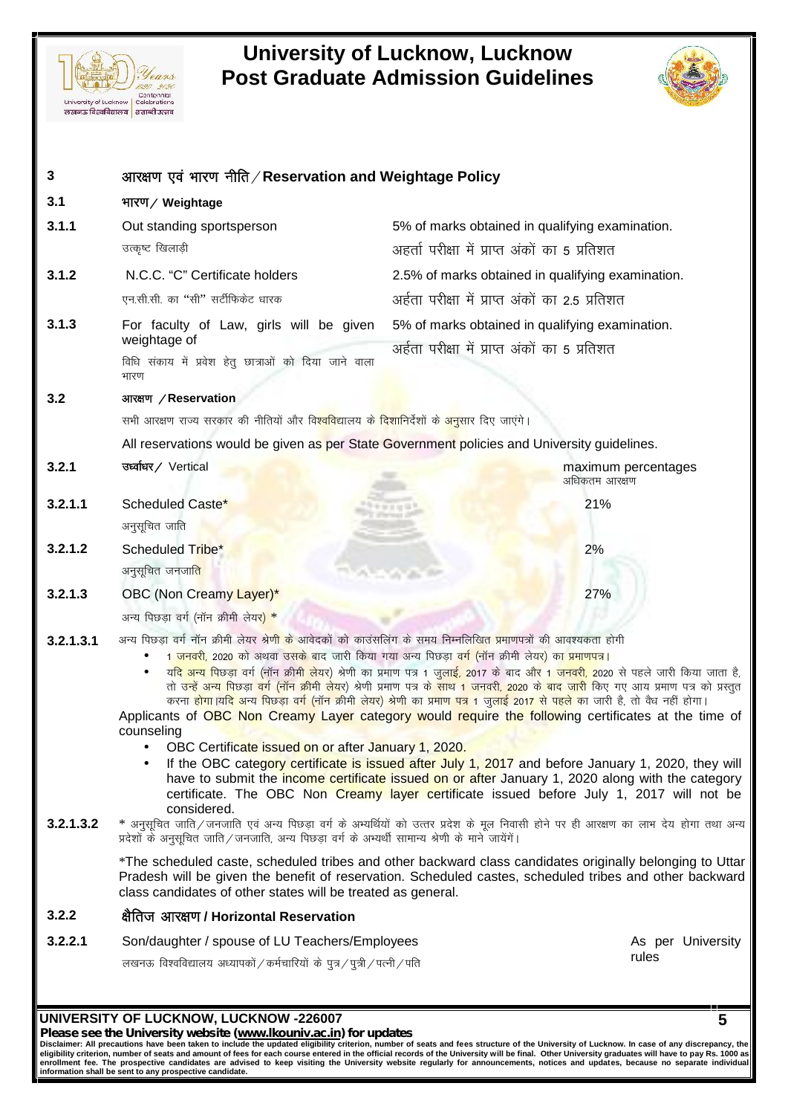



| 3                      | आरक्षण एवं भारण नीति / Reservation and Weightage Policy                                                                                                                                                                                                                                                               |                                                                                                                                                                                                                                                                                                                                                                                                                                                                                                                                                                                                                                                                                                                                                                                                                                                                                                                                                                                                                                                                                                                                                                                      |  |
|------------------------|-----------------------------------------------------------------------------------------------------------------------------------------------------------------------------------------------------------------------------------------------------------------------------------------------------------------------|--------------------------------------------------------------------------------------------------------------------------------------------------------------------------------------------------------------------------------------------------------------------------------------------------------------------------------------------------------------------------------------------------------------------------------------------------------------------------------------------------------------------------------------------------------------------------------------------------------------------------------------------------------------------------------------------------------------------------------------------------------------------------------------------------------------------------------------------------------------------------------------------------------------------------------------------------------------------------------------------------------------------------------------------------------------------------------------------------------------------------------------------------------------------------------------|--|
| 3.1                    | भारण / Weightage                                                                                                                                                                                                                                                                                                      |                                                                                                                                                                                                                                                                                                                                                                                                                                                                                                                                                                                                                                                                                                                                                                                                                                                                                                                                                                                                                                                                                                                                                                                      |  |
| 3.1.1                  | Out standing sportsperson                                                                                                                                                                                                                                                                                             | 5% of marks obtained in qualifying examination.                                                                                                                                                                                                                                                                                                                                                                                                                                                                                                                                                                                                                                                                                                                                                                                                                                                                                                                                                                                                                                                                                                                                      |  |
|                        | उत्कृष्ट खिलाड़ी                                                                                                                                                                                                                                                                                                      | अहर्ता परीक्षा में प्राप्त अंकों का 5 प्रतिशत                                                                                                                                                                                                                                                                                                                                                                                                                                                                                                                                                                                                                                                                                                                                                                                                                                                                                                                                                                                                                                                                                                                                        |  |
| 3.1.2                  | N.C.C. "C" Certificate holders                                                                                                                                                                                                                                                                                        | 2.5% of marks obtained in qualifying examination.                                                                                                                                                                                                                                                                                                                                                                                                                                                                                                                                                                                                                                                                                                                                                                                                                                                                                                                                                                                                                                                                                                                                    |  |
|                        | एन.सी.सी. का "सी" सर्टीफिकेट धारक                                                                                                                                                                                                                                                                                     | अर्हता परीक्षा में प्राप्त अंकों का 2.5 प्रतिशत                                                                                                                                                                                                                                                                                                                                                                                                                                                                                                                                                                                                                                                                                                                                                                                                                                                                                                                                                                                                                                                                                                                                      |  |
| 3.1.3                  | For faculty of Law, girls will be given<br>weightage of                                                                                                                                                                                                                                                               | 5% of marks obtained in qualifying examination.<br>अर्हता परीक्षा में प्राप्त अंकों का 5 प्रतिशत                                                                                                                                                                                                                                                                                                                                                                                                                                                                                                                                                                                                                                                                                                                                                                                                                                                                                                                                                                                                                                                                                     |  |
|                        | विधि संकाय में प्रवेश हेतु छात्राओं को दिया जाने वाला<br>भारण                                                                                                                                                                                                                                                         |                                                                                                                                                                                                                                                                                                                                                                                                                                                                                                                                                                                                                                                                                                                                                                                                                                                                                                                                                                                                                                                                                                                                                                                      |  |
| 3.2                    | आरक्षण / Reservation                                                                                                                                                                                                                                                                                                  |                                                                                                                                                                                                                                                                                                                                                                                                                                                                                                                                                                                                                                                                                                                                                                                                                                                                                                                                                                                                                                                                                                                                                                                      |  |
|                        | सभी आरक्षण राज्य सरकार की नीतियों और वि <mark>श्वविद्या</mark> लय क <mark>े दिशानिर्दे</mark> शों के <mark>अनुसा</mark> र दिए जाएंगे।                                                                                                                                                                                 |                                                                                                                                                                                                                                                                                                                                                                                                                                                                                                                                                                                                                                                                                                                                                                                                                                                                                                                                                                                                                                                                                                                                                                                      |  |
|                        |                                                                                                                                                                                                                                                                                                                       | All reservations would be given as per State Government policies and University guidelines.                                                                                                                                                                                                                                                                                                                                                                                                                                                                                                                                                                                                                                                                                                                                                                                                                                                                                                                                                                                                                                                                                          |  |
| 3.2.1                  | उर्ध्वाधर/ Vertical                                                                                                                                                                                                                                                                                                   | maximum percentages<br>अधिकतम आरक्षण                                                                                                                                                                                                                                                                                                                                                                                                                                                                                                                                                                                                                                                                                                                                                                                                                                                                                                                                                                                                                                                                                                                                                 |  |
| 3.2.1.1                | Scheduled Caste*<br>अनुसूचित जाति                                                                                                                                                                                                                                                                                     | 21%                                                                                                                                                                                                                                                                                                                                                                                                                                                                                                                                                                                                                                                                                                                                                                                                                                                                                                                                                                                                                                                                                                                                                                                  |  |
| 3.2.1.2                | Scheduled Tribe*<br>अनुसूचित जनजा <mark>ति</mark>                                                                                                                                                                                                                                                                     | 2%                                                                                                                                                                                                                                                                                                                                                                                                                                                                                                                                                                                                                                                                                                                                                                                                                                                                                                                                                                                                                                                                                                                                                                                   |  |
| 3.2.1.3                | OBC (Non Creamy Layer)*                                                                                                                                                                                                                                                                                               | 27%                                                                                                                                                                                                                                                                                                                                                                                                                                                                                                                                                                                                                                                                                                                                                                                                                                                                                                                                                                                                                                                                                                                                                                                  |  |
|                        | अन्य पिछड़ा वर्ग (नॉन क्रीमी लेय <mark>र) *</mark>                                                                                                                                                                                                                                                                    |                                                                                                                                                                                                                                                                                                                                                                                                                                                                                                                                                                                                                                                                                                                                                                                                                                                                                                                                                                                                                                                                                                                                                                                      |  |
| 3.2.1.3.1<br>3.2.1.3.2 | अन्य पिछडा वर्ग नॉन क्रीमी लेयर श्रे <mark>णी के</mark> आवेदकों को काउंसलिंग के समय निम्नलिखित प्रमाणपत्रों की आवश्यकता होगी<br>counseling<br>OBC Certificate issued on or after January 1, 2020.<br>considered.<br>प्रदेशों के अनुसूचित जाति / जनजाति, अन्य पिछड़ा वर्ग के अभ्यर्थी सामान्य श्रेणी के माने जायेंगें। | 1 <mark>जनवरी,</mark> 2020 को अथवा उसके बाद जारी किया गया अन्य पिछड़ा <mark>वर्ग (</mark> नॉन क्रीमी लेयर) का <mark>प्रमाणप</mark> त्र।<br>य <mark>दि अन्य पिछड़ा</mark> वर्ग (नॉन क्री <mark>मी ले</mark> यर) श्रेणी का प्रमाण पत्र 1 जुलाई, 2017 के बाद औ <mark>र 1 जनवरी, 2</mark> 020 से पहले जारी किया जाता है,<br>तो <mark>उन्हें अन्य पिछड़ा वर्ग (नॉन क्रीमी लेयर</mark> ) श्रेणी प्रमाण पत्र क <mark>े साथ 1 जनवरी, 2020 के बाद जारी</mark> किए गए आय प्रमाण पत्र को प्रस्तुत<br>करना <mark>होगा।यदि अन्य पिछड़ा वर्ग (नॉन क्रीमी लेयर) श्रेणी का प्रमाण पत्र 1 जुलाई 2017 से पहले का जारी है, तो वैध नहीं होगा।</mark><br>Applicants of OBC Non Creamy Layer category would require the following certificates at the time of<br>If the OBC category certificate is issued after July 1, 2017 and before January 1, 2020, they will<br>have to submit the income certificate issued on or after January 1, 2020 along with the category<br>certificate. The OBC Non Creamy layer certificate issued before July 1, 2017 will not be<br>* अनुसूचित जाति/जनजाति एवं अन्य पिछड़ा वर्ग के अभ्यर्थियों को उत्तर प्रदेश के मूल निवासी होने पर ही आरक्षण का लाभ देय होगा तथा अन्य |  |
|                        | class candidates of other states will be treated as general.                                                                                                                                                                                                                                                          | *The scheduled caste, scheduled tribes and other backward class candidates originally belonging to Uttar<br>Pradesh will be given the benefit of reservation. Scheduled castes, scheduled tribes and other backward                                                                                                                                                                                                                                                                                                                                                                                                                                                                                                                                                                                                                                                                                                                                                                                                                                                                                                                                                                  |  |
| 3.2.2                  | क्षैतिज आरक्षण / Horizontal Reservation                                                                                                                                                                                                                                                                               |                                                                                                                                                                                                                                                                                                                                                                                                                                                                                                                                                                                                                                                                                                                                                                                                                                                                                                                                                                                                                                                                                                                                                                                      |  |
| 3.2.2.1                | Son/daughter / spouse of LU Teachers/Employees                                                                                                                                                                                                                                                                        | As per University                                                                                                                                                                                                                                                                                                                                                                                                                                                                                                                                                                                                                                                                                                                                                                                                                                                                                                                                                                                                                                                                                                                                                                    |  |
|                        |                                                                                                                                                                                                                                                                                                                       | rules<br>लखनऊ विश्वविद्यालय अध्यापकों / कर्मचारियों के पुत्र / पुत्री / पत्नी / पति                                                                                                                                                                                                                                                                                                                                                                                                                                                                                                                                                                                                                                                                                                                                                                                                                                                                                                                                                                                                                                                                                                  |  |

Please see the University website (www.lkouniv.ac.in) for updates<br>Disclaimer: All precautions have been taken to include the updated eligibility criterion, number of seats and fees structure of the University of Lucknow. I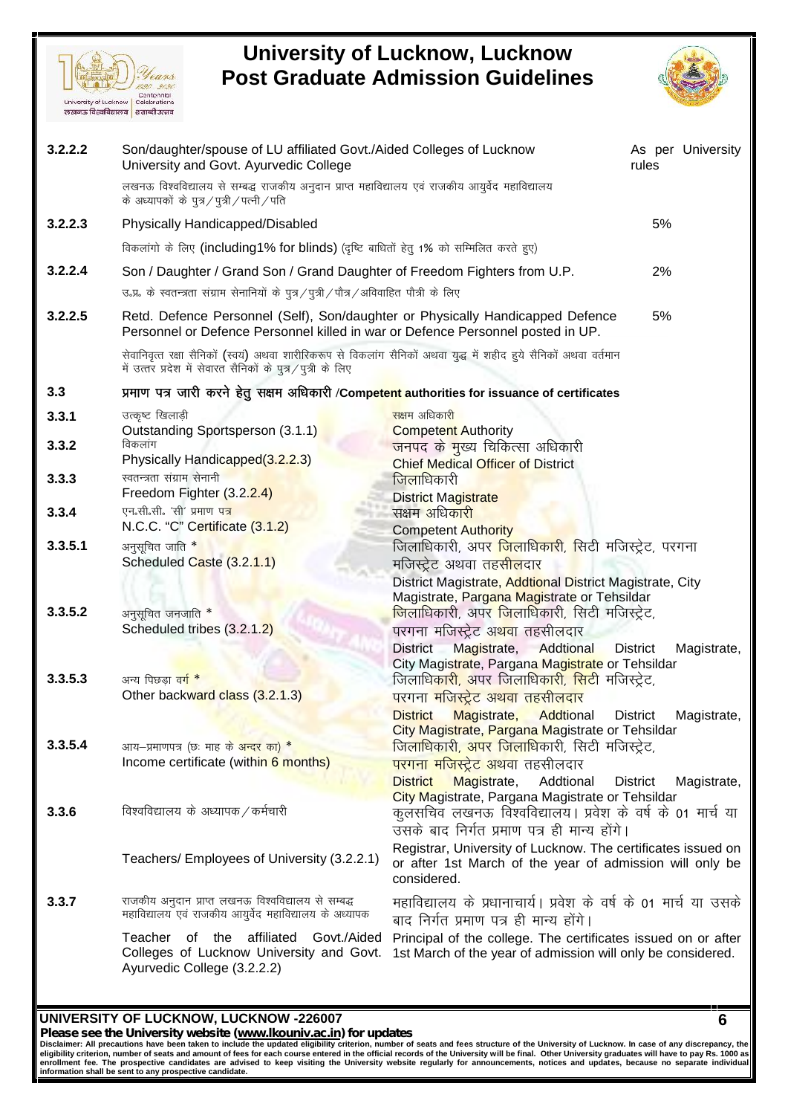



|         | लखनऊ विश्वविद्यालय   शताब्दी उत्सव                                                                                                                                               |                                                                                                                              |                 |                   |
|---------|----------------------------------------------------------------------------------------------------------------------------------------------------------------------------------|------------------------------------------------------------------------------------------------------------------------------|-----------------|-------------------|
| 3.2.2.2 | Son/daughter/spouse of LU affiliated Govt./Aided Colleges of Lucknow<br>University and Govt. Ayurvedic College                                                                   |                                                                                                                              | rules           | As per University |
|         | लखनऊ विश्वविद्यालय से सम्बद्ध राजकीय अनुदान प्राप्त महाविद्यालय एवं राजकीय आयुर्वेद महाविद्यालय<br>के अध्यापकों के पुत्र / पुत्री / पत्नी / पति                                  |                                                                                                                              |                 |                   |
| 3.2.2.3 | Physically Handicapped/Disabled                                                                                                                                                  |                                                                                                                              | 5%              |                   |
|         | विकलांगो के लिए (including1% for blinds) (दृष्टि बाधितों हेतु 1% को सम्मिलित करते हुए)                                                                                           |                                                                                                                              |                 |                   |
| 3.2.2.4 | Son / Daughter / Grand Son / Grand Daughter of Freedom Fighters from U.P.                                                                                                        |                                                                                                                              | 2%              |                   |
|         | उ.प्र. के स्वतन्त्रता संग्राम सेनानियों के पुत्र / पुत्री / पौत्र / अविवाहित पौत्री के लिए                                                                                       |                                                                                                                              |                 |                   |
| 3.2.2.5 | Retd. Defence Personnel (Self), Son/daughter or Physically Handicapped Defence<br>Personnel or Defence Personnel killed in war or Defence Personnel posted in UP.                |                                                                                                                              | 5%              |                   |
|         | सेवानिवृत्त रक्षा सैनिकों (स्वयं) अथवा शारीरिकरूप से विकलांग सैनिकों अथवा युद्ध में शहीद हुये सैनिकों अथवा वर्तमान<br>में उत्तर प्रदेश में सेवारत सैनिकों के पुत्र/पुत्री के लिए |                                                                                                                              |                 |                   |
| 3.3     | प्रमाण पत्र जारी करने हेतु सक्षम अधिकारी /Competent authorities for issuance of certificates                                                                                     |                                                                                                                              |                 |                   |
| 3.3.1   | उत्कृष्ट खिलाड़ी                                                                                                                                                                 | सक्षम अधिकार <mark>ी</mark>                                                                                                  |                 |                   |
| 3.3.2   | Outstanding Sportsperson (3.1.1)<br>विकलांग                                                                                                                                      | <b>Competent Authority</b>                                                                                                   |                 |                   |
|         | Physically Handicapped(3.2.2.3)                                                                                                                                                  | <mark>जनपद के मुख्य चिकित्सा अधिकारी</mark><br><b>Chief Medical Officer of District</b>                                      |                 |                   |
| 3.3.3   | स्वतन्त्रता संग्राम सेनानी                                                                                                                                                       | <mark>जिला</mark> धिकारी                                                                                                     |                 |                   |
| 3.3.4   | Freedom Fighter (3.2.2.4)<br>एन.सी.सी. 'सी' प्रमाण पत्र                                                                                                                          | <b>District Magistrate</b>                                                                                                   |                 |                   |
|         | N.C.C. "C" Certificate (3.1.2)                                                                                                                                                   | सक्षम अधिकारी<br><b>Competent Authority</b>                                                                                  |                 |                   |
| 3.3.5.1 | अनुसूचित जाति *                                                                                                                                                                  | जिलाधिकारी, अपर <mark>जिलाधिकारी, सि</mark> टी मजिस्ट्रेट, परगना                                                             |                 |                   |
|         | Scheduled Caste (3.2.1.1)                                                                                                                                                        | मजिस्ट्रेट अथवा तहसीलदार                                                                                                     |                 |                   |
|         |                                                                                                                                                                                  | District Magistrate, Addtional District Magistrate, City<br>Magistrate, Pargana Magistrate or Tehsildar                      |                 |                   |
| 3.3.5.2 | अनुसूचित जनजाति *                                                                                                                                                                | <mark>जिलाधिकारी, अपर जिलाधिकारी, सिटी मजिस्ट्रेट,</mark>                                                                    |                 |                   |
|         | Scheduled tribes (3.2.1.2)                                                                                                                                                       | परगना मजिस्ट्रेट अ <mark>थवा</mark> तहसीलदार                                                                                 |                 |                   |
|         |                                                                                                                                                                                  | <b>District</b><br>Magistrate,<br>Addtional<br>City Magistrate, Pargana Magistrate or Tehsildar                              | <b>District</b> | Magistrate,       |
| 3.3.5.3 | अन्य पिछडा वर् <mark>ग *</mark>                                                                                                                                                  | जिलाधिकारी, अपर जिलाधिकारी, <mark>सि</mark> टी मजिस्ट्रेट,                                                                   |                 |                   |
|         | Other backward class (3.2.1.3)                                                                                                                                                   | <u>परगना मजिस्ट्रेट अथवा तहसीलदार</u>                                                                                        |                 |                   |
|         |                                                                                                                                                                                  | Magistrate,<br>Addtional<br><b>District</b><br>City Magistrate, Pargana Magistrate or Tehsildar                              | <b>District</b> | Magistrate,       |
| 3.3.5.4 | आय-प्रमाणपत्र (छः माह के अन्दर का) *                                                                                                                                             | जिलाधिकारी, अपर जिलाधिकारी, सिटी मजिस्ट्रेट,                                                                                 |                 |                   |
|         | Income certificate (within 6 months)                                                                                                                                             | <mark>परगना मजिस्ट्रेट अथवा त</mark> हसीलदार                                                                                 |                 |                   |
|         |                                                                                                                                                                                  | <b>District</b><br>Magistrate,<br>Addtional                                                                                  | <b>District</b> | Magistrate,       |
| 3.3.6   | विश्वविद्यालय के अध्यापक / कर्मचारी                                                                                                                                              | City Magistrate, Pargana Magistrate or Tehsildar<br>कुलसचिव लखनऊ विश्वविद्यालय। प्रवेश के वर्ष के 01 मार्च या                |                 |                   |
|         |                                                                                                                                                                                  | उसके बाद निर्गत प्रमाण पत्र ही मान्य होंगे।                                                                                  |                 |                   |
|         | Teachers/ Employees of University (3.2.2.1)                                                                                                                                      | Registrar, University of Lucknow. The certificates issued on                                                                 |                 |                   |
|         |                                                                                                                                                                                  | or after 1st March of the year of admission will only be<br>considered.                                                      |                 |                   |
| 3.3.7   | राजकीय अनुदान प्राप्त लखनऊ विश्वविद्यालय से सम्बद्ध<br>महाविद्यालय एवं राजकीय आयुर्वेद महाविद्यालय के अध्यापक                                                                    | महाविद्यालय के प्रधानाचार्य। प्रवेश के वर्ष के 01 मार्च या उसके                                                              |                 |                   |
|         |                                                                                                                                                                                  | बाद निर्गत प्रमाण पत्र ही मान्य होंगे।                                                                                       |                 |                   |
|         | Teacher of the affiliated<br>Govt./Aided<br>Colleges of Lucknow University and Govt.<br>Ayurvedic College (3.2.2.2)                                                              | Principal of the college. The certificates issued on or after<br>1st March of the year of admission will only be considered. |                 |                   |
|         |                                                                                                                                                                                  |                                                                                                                              |                 |                   |

### **UNIVERSITY OF LUCKNOW, LUCKNOW -226007**

*Please see the University website (www.lkouniv.ac.in) for updates* **6**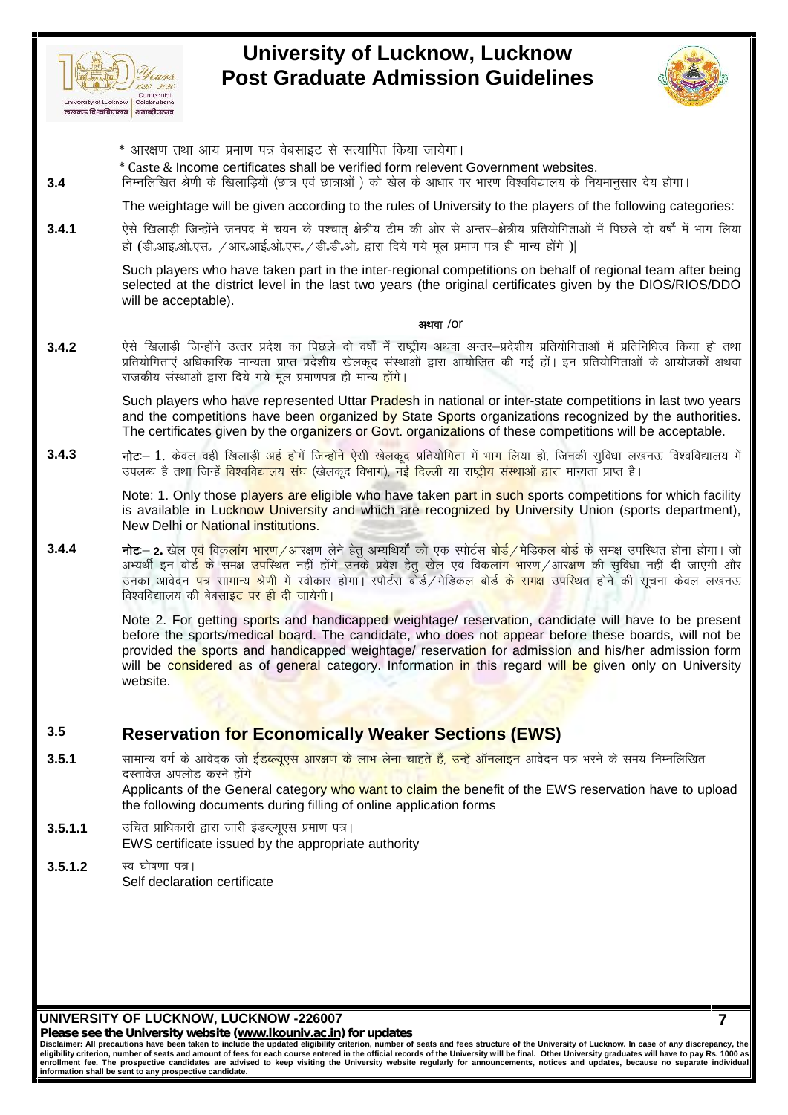



- 
- \* Caste & Income certificates shall be verified form relevent Government websites.
- whiversity of Lucknow | Celebrations<br>लेखनऊ विद्वविद्यालय | टलक्ष्क्ष्मतब्धि उत्सव उत्सव<br>\* आरक्षण तथा आय प्रमाण पत्र वेबसाइट से सत्यापित किया जायेगा |<br>\* Caste & Income certificates shall be verified form relevent Governmen

University of Luckhow Combines<br>
<del>अल्लाक हिल्लीबालय</del> | eranel उल्लाह<br>
\* आरक्षण तथा आय प्रमाण पत्र वेबसाइट से सत्यापित किया जायेगा |<br>
\* Caste & Income certificates shall be verified form relevent Government websites.<br>
- निम The weightage will be given according to the rules of University to the players of the following categories:

**3.4.1** ,sls f[kykM+h ftUgksaus tuin esa p;u d s i'pkr~ {ks=h; Vhe dh vksj ls vUrj&{ks=h; çfr;k sfxrkvksa esa fiNys nk s o"kksZa esa Hkkx fy;k ऐसे खिलाड़ी जिन्होंने जनपद में चयन के पश्चात् क्षेत्रीय टीम की ओर से अन्तर–क्षेत्रीय प्रतियोगिताओं में पिछले दो वर्षों में भाग लिया<br>हो (डी.आइ.ओ.एस. /आर.आई.ओ.एस./डी.डी.ओ. द्वारा दिये गये मूल प्रमाण पत्र ही मान्य होंगे )|

Such players who have taken part in the inter-regional competitions on behalf of regional team after being selected at the district level in the last two years (the original certificates given by the DIOS/RIOS/DDO will be acceptable).

### **vFkok /**or

Such players who have taken part in the inter-regional competitions on behalf of regional team after being<br>selected at the district level in the last two years (the original certificates given by the DIOS/RIOS/DDO<br>will be selected at the district level in the last two years (the original certificates given by the DIOS/RIOS/DDO<br>will be acceptable).<br>एसे खिलाड़ी जिन्होंने उत्तर प्रदेश का पिछले दो वर्षों में राष्ट्रीय अथवा अन्तर–प्रदेशीय प्रति राजकीय संस्थाओं द्वारा दिये गये मूल प्रमाणपत्र ही मान्<mark>य होंगे</mark>।

Such players who have represented Uttar Pradesh in national or inter-state competitions in last two years and the competitions have been organized by State Sports organizations recognized by the authorities. The certificates given by the organizers or Govt. organizations of these competitions will be acceptable. Such players who have represented Uttar P<mark>rade</mark>sh in national or inter-state competitions in last two years<br>and the competitions have been <mark>organized by S</mark>tate Sports organizations recognized by the authorities.<br>The certi

**3.4.3 नोट**:— 1. केवल वही खिलाड़ी अई होगें जिन्होंने ऐसी खेलकूद प्रतियोगिता में भाग लिया हो, जिनकी सुविधा लखनऊ विश्वविद्यालय में<br>उपलब्ध है तथा जिन्हें <mark>विश्वविद्यालय संघ</mark> (खेलकूद विभाग), नई दिल्ली या राष्ट्रीय सं

is available in Lucknow University and which are recognized by University Union (sports department), New Delhi or National institutions.

उपलब्ध है तथा जिन्हें विश्वविद्यालय संघ (खेलकूद विभाग), नई दिल्ली या राष्ट्रीय संस्थाओं द्वारा मान्यता प्राप्त है।<br>
Note: 1. Only those players are eligible who have taken part in such sports competitions for which facil Note: 1. Only those players are eligible who have taken part in such sports competitions for which facility<br>is available in Lucknow University and which are recognized by University Union (sports department),<br>New Delhi or **नोट**:– **2.** खेल एवं विकलांग भारण ⁄आरक्षण लेने हेतु अभ्यथियौं को एक स्पोर्टस <mark>बोर्ड</mark> /मेडिकल बोर्ड के समक्ष उपस्थित होना होगा। जो<br>अभ्यर्थी इन बोर्ड के समक्ष उपस्थित नहीं होंगे उनके प्रवेश हेतु खेल एवं विकलांग भारण ⁄आरक्षण विश्वविद्यालय क<mark>ी बेबसाइट पर ही दी जायेगी।</mark>

Note 2. For getting sports and handicapped weightage/ reservation, candidate will have to be present before the sports/medical board. The candidate, who does not appear before these boards, will not be provided the sports and handicapped weightage/ reservation for admission and his/her admission form will be considered as of general category. Information in this regard will be given only on University website.

### **3.5 Reservation for Economically Weaker Sections (EWS)**

**3.5**<br>**3.5.1 Reservation for Economically Weaker Sections (EWS)**<br>a straight which was a straight and the control who went to claim the benefit of the EWS reservation have to upload दस्तावेज अपलोड करने होंगे Applicants of the General category who want to claim the benefit of the EWS reservation have to upload the following documents during filling of online application forms

- **3.5.1.1** afta प्राधिकारी द्वारा जारी ईडब्ल्यएस प्रमाण पत्र। EWS certificate issued by the appropriate authority
- **3.5.1.2** स्व घोषणा पत्र। Self declaration certificate

**UNIVERSITY OF LUCKNOW, LUCKNOW -226007**

*Please see the University website (www.lkouniv.ac.in) for updates*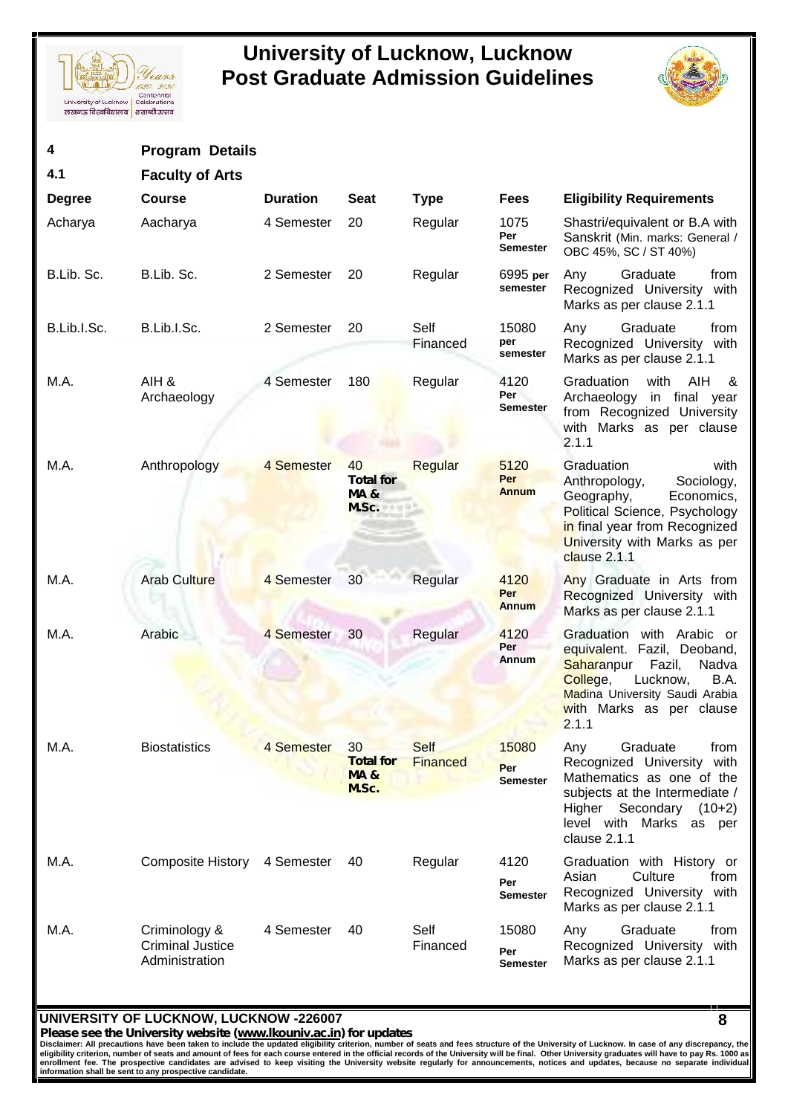



| 4             | <b>Program Details</b>                                     |                 |                                                                |                                |                                 |                                                                                                                                                                                                  |
|---------------|------------------------------------------------------------|-----------------|----------------------------------------------------------------|--------------------------------|---------------------------------|--------------------------------------------------------------------------------------------------------------------------------------------------------------------------------------------------|
| 4.1           | <b>Faculty of Arts</b>                                     |                 |                                                                |                                |                                 |                                                                                                                                                                                                  |
| <b>Degree</b> | <b>Course</b>                                              | <b>Duration</b> | <b>Seat</b>                                                    | <b>Type</b>                    | <b>Fees</b>                     | <b>Eligibility Requirements</b>                                                                                                                                                                  |
| Acharya       | Aacharya                                                   | 4 Semester      | 20                                                             | Regular                        | 1075<br>Per<br><b>Semester</b>  | Shastri/equivalent or B.A with<br>Sanskrit (Min. marks: General /<br>OBC 45%, SC / ST 40%)                                                                                                       |
| B.Lib. Sc.    | B.Lib. Sc.                                                 | 2 Semester      | 20                                                             | Regular                        | 6995 per<br>semester            | Any<br>Graduate<br>from<br>Recognized University<br>with<br>Marks as per clause 2.1.1                                                                                                            |
| B.Lib.I.Sc.   | B.Lib.I.Sc.                                                | 2 Semester      | 20                                                             | Self<br>Financed               | 15080<br>per<br>semester        | Graduate<br>Any<br>from<br>Recognized University with<br>Marks as per clause 2.1.1                                                                                                               |
| M.A.          | AIH &<br>Archaeology                                       | 4 Semester      | 180                                                            | Regular                        | 4120<br>Per<br><b>Semester</b>  | Graduation<br>with<br><b>AIH</b><br>&<br>Archaeology<br>in final year<br>from Recognized University<br>with Marks as per clause<br>2.1.1                                                         |
| M.A.          | Anthropology                                               | 4 Semester      | 40<br><b>Total for</b><br><b>MA&amp;</b><br>M.Sc.              | Regular                        | 5120<br>Per<br><b>Annum</b>     | Graduation<br>with<br>Sociology,<br>Anthropology,<br>Geography,<br>Economics,<br>Political Science, Psychology<br>in final year from Recognized<br>University with Marks as per<br>clause 2.1.1  |
| M.A.          | <b>Arab Culture</b>                                        | 4 Semester      | 30                                                             | Regular                        | 4120<br>Per<br>Annum            | Any Graduate in Arts from<br>Recognized University with<br>Marks as per clause 2.1.1                                                                                                             |
| M.A.          | Arabic                                                     | 4 Semester      | 30                                                             | Regular                        | 4120<br>Per<br>Annum            | Graduation with Arabic or<br>equivalent. Fazil, Deoband,<br>Saharanpur<br>Nadva<br>Fazil,<br>College,<br>Lucknow,<br>B.A.<br>Madina University Saudi Arabia<br>with Marks as per clause<br>2.1.1 |
| M.A.          | <b>Biostatistics</b>                                       | 4 Semester      | 30 <sup>°</sup><br><b>Total for</b><br><b>MA&amp;</b><br>M.Sc. | <b>Self</b><br><b>Financed</b> | 15080<br>Per<br><b>Semester</b> | Graduate<br>from<br>Any<br>Recognized University with<br>Mathematics as one of the<br>subjects at the Intermediate /<br>Higher Secondary<br>$(10+2)$<br>level with Marks as per<br>clause 2.1.1  |
| M.A.          | Composite History                                          | 4 Semester      | 40                                                             | Regular                        | 4120<br>Per<br><b>Semester</b>  | Graduation with History or<br>Culture<br>Asian<br>from<br>Recognized University with<br>Marks as per clause 2.1.1                                                                                |
| M.A.          | Criminology &<br><b>Criminal Justice</b><br>Administration | 4 Semester      | 40                                                             | Self<br>Financed               | 15080<br>Per<br><b>Semester</b> | Graduate<br>Any<br>from<br>Recognized University with<br>Marks as per clause 2.1.1                                                                                                               |

### **UNIVERSITY OF LUCKNOW, LUCKNOW -226007**

*Please see the University website (www.lkouniv.ac.in) for updates* **8**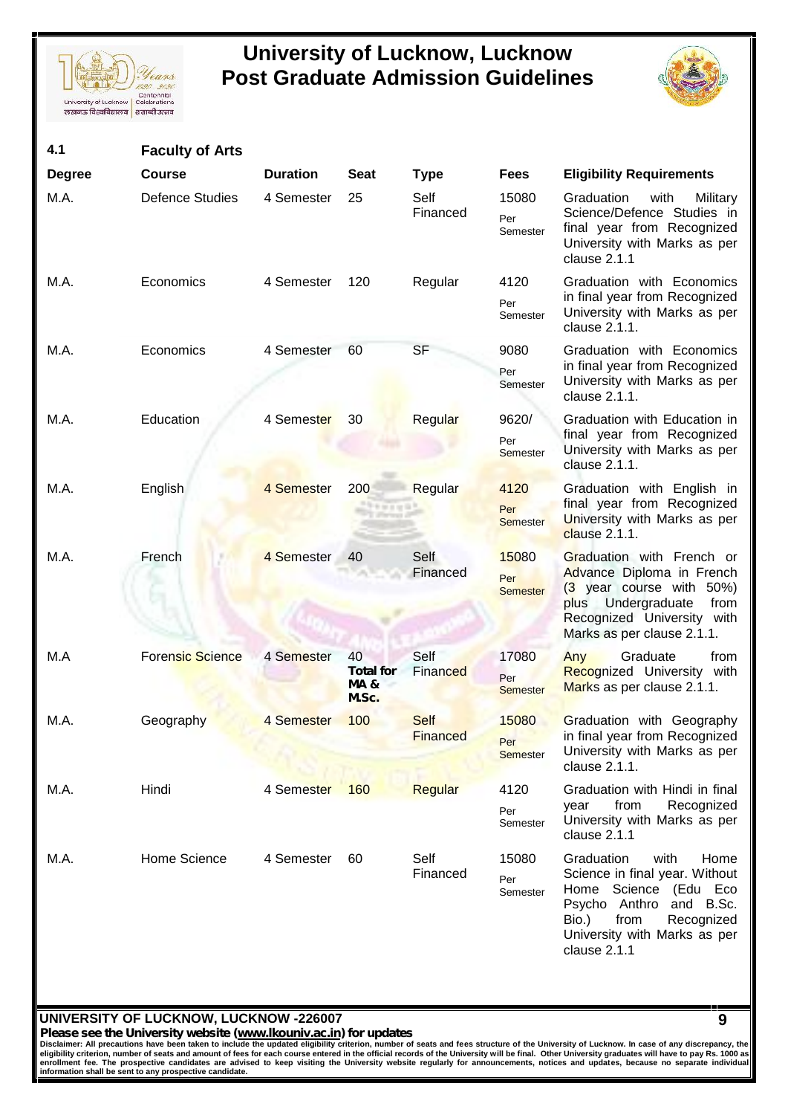



| 4.1           | <b>Faculty of Arts</b> |                 |                                         |                         |                                 |                                                                                                                                                                                                    |
|---------------|------------------------|-----------------|-----------------------------------------|-------------------------|---------------------------------|----------------------------------------------------------------------------------------------------------------------------------------------------------------------------------------------------|
| <b>Degree</b> | <b>Course</b>          | <b>Duration</b> | <b>Seat</b>                             | <b>Type</b>             | <b>Fees</b>                     | <b>Eligibility Requirements</b>                                                                                                                                                                    |
| M.A.          | <b>Defence Studies</b> | 4 Semester      | 25                                      | Self<br>Financed        | 15080<br>Per<br>Semester        | Graduation<br>with<br>Military<br>Science/Defence Studies in<br>final year from Recognized<br>University with Marks as per<br>clause 2.1.1                                                         |
| M.A.          | Economics              | 4 Semester      | 120                                     | Regular                 | 4120<br>Per<br>Semester         | Graduation with Economics<br>in final year from Recognized<br>University with Marks as per<br>clause 2.1.1.                                                                                        |
| M.A.          | Economics              | 4 Semester      | 60                                      | <b>SF</b>               | 9080<br>Per<br>Semester         | Graduation with Economics<br>in final year from Recognized<br>University with Marks as per<br>clause 2.1.1.                                                                                        |
| M.A.          | Education              | 4 Semester      | 30                                      | Regular                 | 9620/<br>Per<br>Semester        | Graduation with Education in<br>final year from Recognized<br>University with Marks as per<br>clause 2.1.1.                                                                                        |
| M.A.          | English                | 4 Semester      | 200                                     | Regular                 | 4120<br>Per<br><b>Semester</b>  | Graduation with English in<br>final year from Recognized<br>University with Marks as per<br>clause 2.1.1.                                                                                          |
| M.A.          | French                 | 4 Semester      | 40                                      | Self<br>Financed        | 15080<br>Per<br><b>Semester</b> | Graduation with French or<br>Advance Diploma in French<br>$(3)$ year course with 50%)<br>plus Undergraduate<br>from<br>Recognized University with<br>Marks as per clause 2.1.1.                    |
| M.A           | Forensic Science       | 4 Semester      | 40<br><b>Total for</b><br>MA &<br>M.Sc. | Self<br>Financed        | 17080<br>Per<br><b>Semester</b> | Graduate<br>Any<br>from<br>Recognized University<br>with<br>Marks as per clause 2.1.1.                                                                                                             |
| M.A.          | Geography              | 4 Semester      | 100                                     | <b>Self</b><br>Financed | 15080<br>Per<br><b>Semester</b> | Graduation with Geography<br>in final year from Recognized<br>University with Marks as per<br>clause 2.1.1.                                                                                        |
| M.A.          | Hindi                  | 4 Semester      | 160                                     | Regular                 | 4120<br>Per<br>Semester         | Graduation with Hindi in final<br>from<br>Recognized<br>year<br>University with Marks as per<br>clause 2.1.1                                                                                       |
| M.A.          | Home Science           | 4 Semester      | 60                                      | Self<br>Financed        | 15080<br>Per<br>Semester        | Graduation<br>with<br>Home<br>Science in final year. Without<br>Science (Edu Eco<br>Home<br>Psycho Anthro and B.Sc.<br>Bio.)<br>from<br>Recognized<br>University with Marks as per<br>clause 2.1.1 |

### **UNIVERSITY OF LUCKNOW, LUCKNOW -226007**

*Please see the University website (www.lkouniv.ac.in) for updates* **9**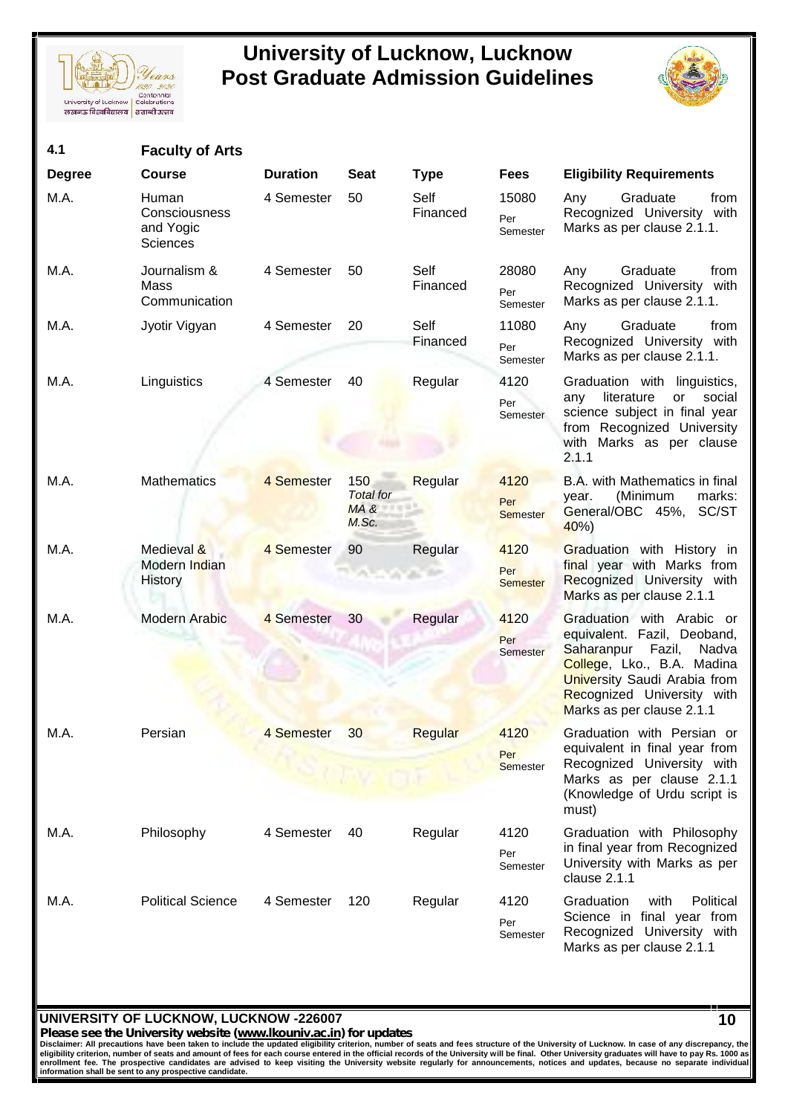



| 4.1           | <b>Faculty of Arts</b>                                        |                 |                                          |                  |                                |                                                                                                                                                                                                                 |
|---------------|---------------------------------------------------------------|-----------------|------------------------------------------|------------------|--------------------------------|-----------------------------------------------------------------------------------------------------------------------------------------------------------------------------------------------------------------|
| <b>Degree</b> | <b>Course</b>                                                 | <b>Duration</b> | <b>Seat</b>                              | <b>Type</b>      | <b>Fees</b>                    | <b>Eligibility Requirements</b>                                                                                                                                                                                 |
| M.A.          | <b>Human</b><br>Consciousness<br>and Yogic<br><b>Sciences</b> | 4 Semester      | 50                                       | Self<br>Financed | 15080<br>Per<br>Semester       | Graduate<br>Any<br>from<br>Recognized University with<br>Marks as per clause 2.1.1.                                                                                                                             |
| M.A.          | Journalism &<br>Mass<br>Communication                         | 4 Semester      | 50                                       | Self<br>Financed | 28080<br>Per<br>Semester       | Graduate<br>from<br>Any<br>Recognized University<br>with<br>Marks as per clause 2.1.1.                                                                                                                          |
| M.A.          | Jyotir Vigyan                                                 | 4 Semester      | 20                                       | Self<br>Financed | 11080<br>Per<br>Semester       | Graduate<br>Any<br>from<br>Recognized University<br>with<br>Marks as per clause 2.1.1.                                                                                                                          |
| M.A.          | Linguistics                                                   | 4 Semester      | 40                                       | Regular          | 4120<br>Per<br>Semester        | Graduation with linguistics,<br>literature<br>social<br>or<br>any<br>science subject in final year<br>from Recognized University<br>with Marks as per clause<br>2.1.1                                           |
| M.A.          | <b>Mathematics</b>                                            | 4 Semester      | 150<br><b>Total</b> for<br>MA &<br>M.Sc. | Regular          | 4120<br>Per<br><b>Semester</b> | B.A. with Mathematics in final<br>(Minimum<br>marks:<br>year.<br>General/OBC 45%, SC/ST<br>40%                                                                                                                  |
| M.A.          | Medieval &<br>Modern Indian<br><b>History</b>                 | 4 Semester      | 90                                       | Regular          | 4120<br>Per<br><b>Semester</b> | Graduation with History in<br>final year with Marks from<br>Recognized University with<br>Marks as per clause 2.1.1                                                                                             |
| M.A.          | Modern Arabic                                                 | 4 Semester      | 30 <sup>°</sup>                          | Regular          | 4120<br>Per<br>Semester        | Graduation with Arabic or<br>equivalent. Fazil, Deoband,<br>Saharanpur Fazil,<br>Nadva<br>College, Lko., B.A. Madina<br>University Saudi Arabia from<br>Recognized University with<br>Marks as per clause 2.1.1 |
| M.A.          | Persian                                                       | 4 Semester      | 30                                       | Regular          | 4120<br>Per<br><b>Semester</b> | Graduation with Persian or<br>equivalent in final year from<br>Recognized University with<br>Marks as per clause 2.1.1<br>(Knowledge of Urdu script is<br>must)                                                 |
| M.A.          | Philosophy                                                    | 4 Semester      | 40                                       | Regular          | 4120<br>Per<br>Semester        | Graduation with Philosophy<br>in final year from Recognized<br>University with Marks as per<br>clause 2.1.1                                                                                                     |
| M.A.          | <b>Political Science</b>                                      | 4 Semester      | 120                                      | Regular          | 4120<br>Per<br>Semester        | Graduation<br>Political<br>with<br>Science in final year from<br>Recognized University with<br>Marks as per clause 2.1.1                                                                                        |

### **UNIVERSITY OF LUCKNOW, LUCKNOW -226007**

*Please see the University website (www.lkouniv.ac.in) for updates* **10**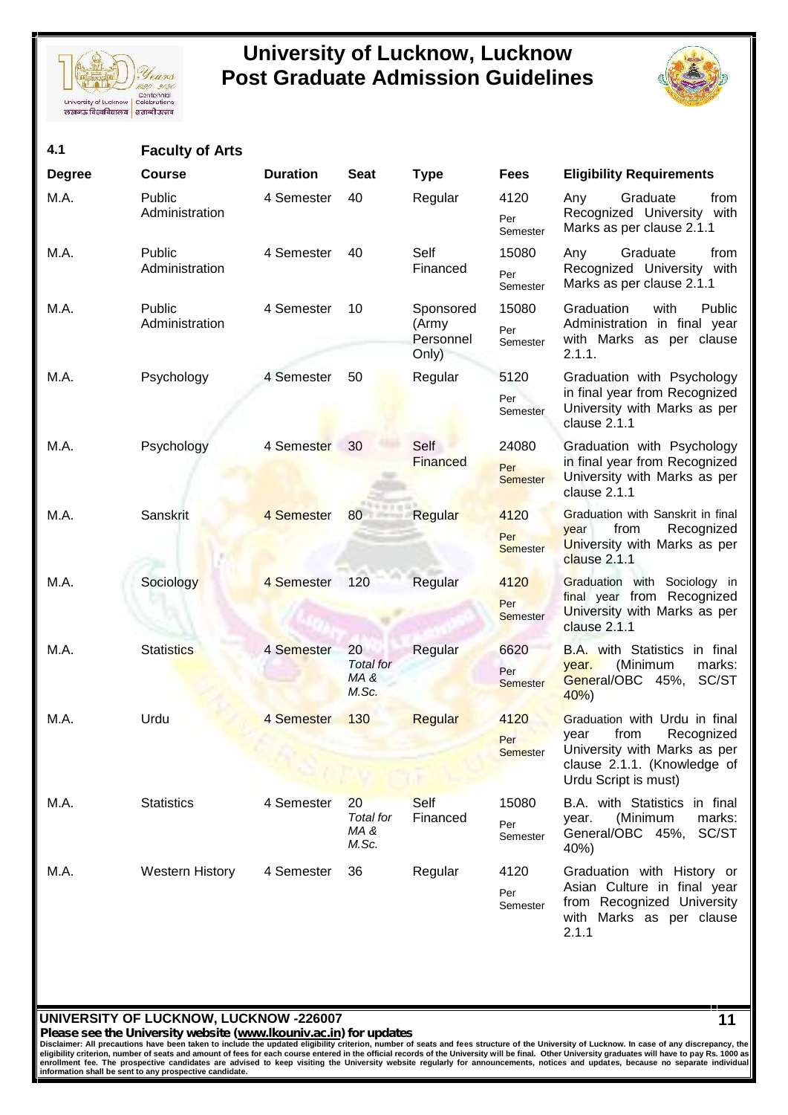



| 4.1           | <b>Faculty of Arts</b>   |                 |                                         |                                          |                                 |                                                                                                                                                    |
|---------------|--------------------------|-----------------|-----------------------------------------|------------------------------------------|---------------------------------|----------------------------------------------------------------------------------------------------------------------------------------------------|
| <b>Degree</b> | <b>Course</b>            | <b>Duration</b> | <b>Seat</b>                             | <b>Type</b>                              | <b>Fees</b>                     | <b>Eligibility Requirements</b>                                                                                                                    |
| M.A.          | Public<br>Administration | 4 Semester      | 40                                      | Regular                                  | 4120<br>Per<br>Semester         | Any<br>Graduate<br>from<br>Recognized University<br>with<br>Marks as per clause 2.1.1                                                              |
| M.A.          | Public<br>Administration | 4 Semester      | 40                                      | Self<br>Financed                         | 15080<br>Per<br>Semester        | Graduate<br>Any<br>from<br>Recognized University with<br>Marks as per clause 2.1.1                                                                 |
| M.A.          | Public<br>Administration | 4 Semester      | 10                                      | Sponsored<br>(Army<br>Personnel<br>Only) | 15080<br>Per<br>Semester        | Graduation<br>with<br>Public<br>Administration in final year<br>with Marks as per clause<br>2.1.1.                                                 |
| M.A.          | Psychology               | 4 Semester      | 50                                      | Regular                                  | 5120<br>Per<br>Semester         | Graduation with Psychology<br>in final year from Recognized<br>University with Marks as per<br>clause 2.1.1                                        |
| M.A.          | Psychology               | 4 Semester      | 30                                      | Self<br><b>Financed</b>                  | 24080<br>Per<br><b>Semester</b> | Graduation with Psychology<br>in final year from Recognized<br>University with Marks as per<br>clause 2.1.1                                        |
| M.A.          | Sanskrit                 | 4 Semester      | 80 Regular                              |                                          | 4120<br>Per<br><b>Semester</b>  | Graduation with Sanskrit in final<br>Recognized<br>from<br>year<br>University with Marks as per<br>clause 2.1.1                                    |
| M.A.          | Sociology                | 4 Semester      | 120                                     | Regular                                  | 4120<br>Per<br><b>Semester</b>  | Graduation with Sociology in<br>final year from Recognized<br>University with Marks as per<br>clause 2.1.1                                         |
| M.A.          | <b>Statistics</b>        | 4 Semester      | 20<br>Total for<br>MA&<br>M.Sc.         | Regular                                  | 6620<br>Per<br><b>Semester</b>  | B.A. with Statistics in final<br>(Minimum<br>marks:<br>year.<br>General/OBC 45%, SC/ST<br>40%                                                      |
| M.A.          | Urdu                     | 4 Semester      | 130                                     | Regular                                  | 4120<br>Per<br><b>Semester</b>  | Graduation with Urdu in final<br>Recognized<br>from<br>year<br>University with Marks as per<br>clause 2.1.1. (Knowledge of<br>Urdu Script is must) |
| M.A.          | <b>Statistics</b>        | 4 Semester      | 20<br><b>Total</b> for<br>MA &<br>M.Sc. | <b>Self</b><br>Financed                  | 15080<br>Per<br>Semester        | B.A. with Statistics in final<br>marks:<br>(Minimum<br>year.<br>General/OBC 45%,<br>SC/ST<br>40%)                                                  |
| M.A.          | <b>Western History</b>   | 4 Semester      | 36                                      | Regular                                  | 4120<br>Per<br>Semester         | Graduation with History or<br>Asian Culture in final year<br>from Recognized University<br>with Marks as per clause<br>2.1.1                       |
|               |                          |                 |                                         |                                          |                                 |                                                                                                                                                    |

### **UNIVERSITY OF LUCKNOW, LUCKNOW -226007**

*Please see the University website (www.lkouniv.ac.in) for updates* **11**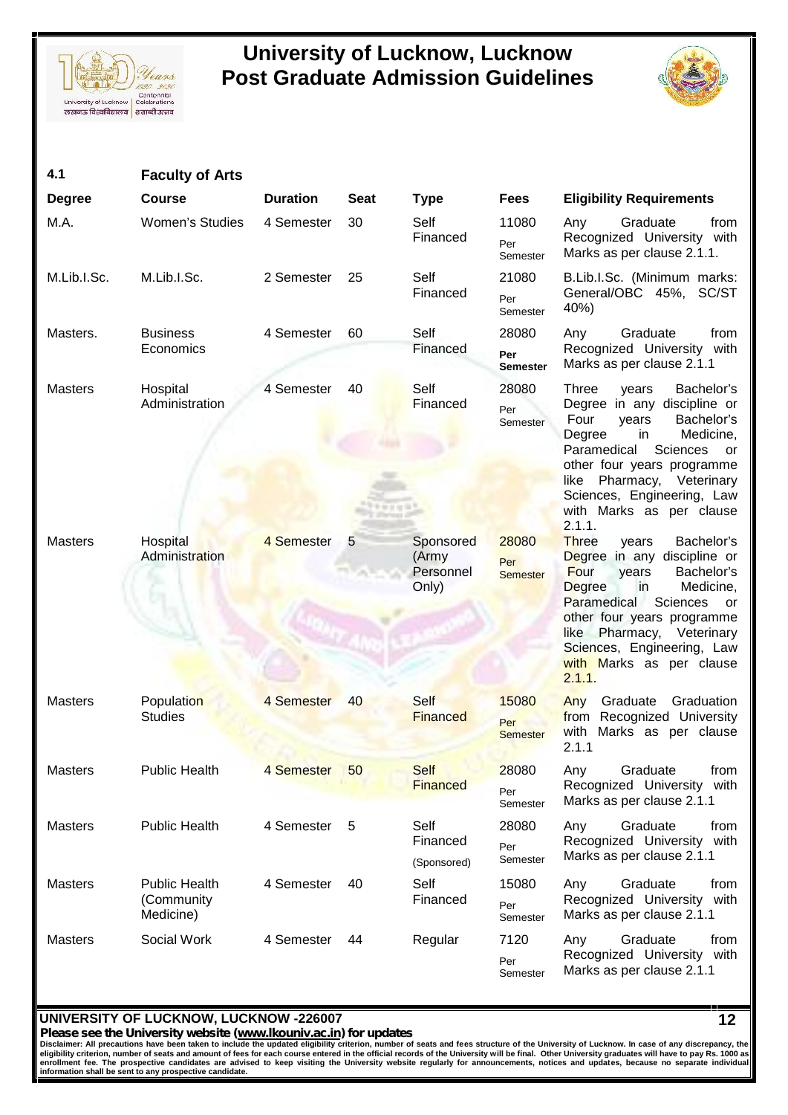



| 4.1            | <b>Faculty of Arts</b>                          |                 |             |                                          |                                 |                                                                                                                                                                                                                                                                                                          |
|----------------|-------------------------------------------------|-----------------|-------------|------------------------------------------|---------------------------------|----------------------------------------------------------------------------------------------------------------------------------------------------------------------------------------------------------------------------------------------------------------------------------------------------------|
| <b>Degree</b>  | <b>Course</b>                                   | <b>Duration</b> | <b>Seat</b> | <b>Type</b>                              | <b>Fees</b>                     | <b>Eligibility Requirements</b>                                                                                                                                                                                                                                                                          |
| M.A.           | Women's Studies                                 | 4 Semester      | 30          | Self<br>Financed                         | 11080<br>Per<br>Semester        | Graduate<br>Any<br>from<br>Recognized University with<br>Marks as per clause 2.1.1.                                                                                                                                                                                                                      |
| M.Lib.I.Sc.    | M.Lib.I.Sc.                                     | 2 Semester      | 25          | Self<br>Financed                         | 21080<br>Per<br>Semester        | B.Lib.I.Sc. (Minimum marks:<br>General/OBC 45%, SC/ST<br>40%)                                                                                                                                                                                                                                            |
| Masters.       | <b>Business</b><br>Economics                    | 4 Semester      | 60          | Self<br>Financed                         | 28080<br>Per<br><b>Semester</b> | Graduate<br>Any<br>from<br>Recognized University with<br>Marks as per clause 2.1.1                                                                                                                                                                                                                       |
| <b>Masters</b> | Hospital<br>Administration                      | 4 Semester      | 40          | Self<br>Financed                         | 28080<br>Per<br>Semester        | <b>Three</b><br>Bachelor's<br>years<br>Degree in any discipline or<br>Four<br>Bachelor's<br>years<br>Medicine,<br>Degree<br>in<br>Paramedical<br>Sciences<br>or<br>other four years programme<br>Pharmacy, Veterinary<br>like<br>Sciences, Engineering, Law<br>with Marks as per clause<br>2.1.1.        |
| <b>Masters</b> | Hospital<br>Administration                      | 4 Semester      | 5           | Sponsored<br>(Army<br>Personnel<br>Only) | 28080<br>Per<br><b>Semester</b> | <b>Three</b><br>Bachelor's<br>years<br>Degree in any discipline or<br>Four<br>Bachelor's<br>years<br><b>Degree</b><br>Medicine,<br>in<br>Paramedical<br>Sciences<br>or<br>other four years programme<br>Pharmacy, Veterinary<br>like<br>Sciences, Engineering, Law<br>with Marks as per clause<br>2.1.1. |
| <b>Masters</b> | Population<br><b>Studies</b>                    | 4 Semester      | 40          | Self<br>Financed                         | 15080<br>Per<br><b>Semester</b> | Graduate<br>Graduation<br>Any<br>from Recognized University<br>Marks as per clause<br>with<br>2.1.1                                                                                                                                                                                                      |
| <b>Masters</b> | <b>Public Health</b>                            | 4 Semester      | 50          | <b>Self</b><br><b>Financed</b>           | 28080<br>Per<br>Semester        | Graduate<br>from<br>Any<br>Recognized University<br>with<br>Marks as per clause 2.1.1                                                                                                                                                                                                                    |
| <b>Masters</b> | <b>Public Health</b>                            | 4 Semester      | 5           | Self<br>Financed<br>(Sponsored)          | 28080<br>Per<br>Semester        | Any<br>Graduate<br>from<br>Recognized University<br>with<br>Marks as per clause 2.1.1                                                                                                                                                                                                                    |
| <b>Masters</b> | <b>Public Health</b><br>(Community<br>Medicine) | 4 Semester      | 40          | Self<br>Financed                         | 15080<br>Per<br>Semester        | Graduate<br>Any<br>from<br>Recognized University<br>with<br>Marks as per clause 2.1.1                                                                                                                                                                                                                    |
| <b>Masters</b> | Social Work                                     | 4 Semester      | 44          | Regular                                  | 7120<br>Per<br>Semester         | Graduate<br>Any<br>from<br>Recognized University<br>with<br>Marks as per clause 2.1.1                                                                                                                                                                                                                    |

### **UNIVERSITY OF LUCKNOW, LUCKNOW -226007**

*Please see the University website (www.lkouniv.ac.in) for updates* **12**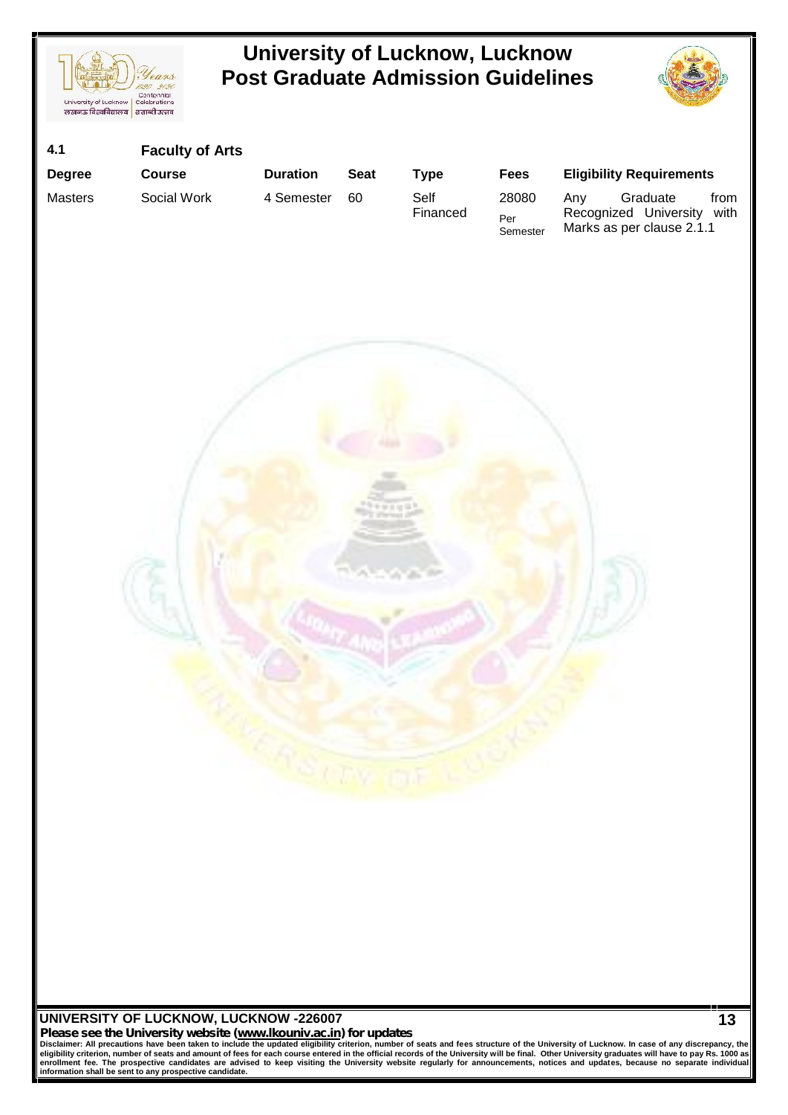



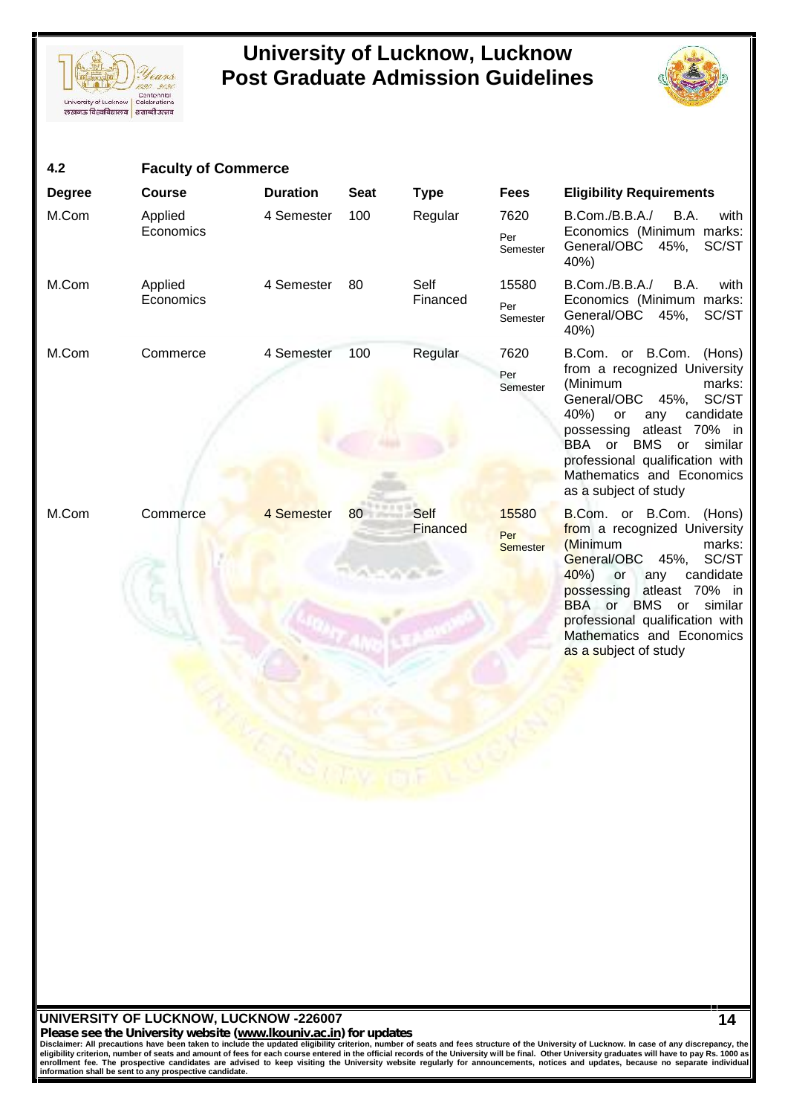



| 4.2           | <b>Faculty of Commerce</b> |                                              |             |                  |                                 |                                                                                                                                                                                                                                                                                                |
|---------------|----------------------------|----------------------------------------------|-------------|------------------|---------------------------------|------------------------------------------------------------------------------------------------------------------------------------------------------------------------------------------------------------------------------------------------------------------------------------------------|
| <b>Degree</b> | <b>Course</b>              | <b>Duration</b>                              | <b>Seat</b> | <b>Type</b>      | <b>Fees</b>                     | <b>Eligibility Requirements</b>                                                                                                                                                                                                                                                                |
| M.Com         | Applied<br>Economics       | 4 Semester                                   | 100         | Regular          | 7620<br>Per<br>Semester         | B.Com./B.B.A./<br>B.A.<br>with<br>Economics (Minimum marks:<br>General/OBC 45%,<br>SC/ST<br>40%)                                                                                                                                                                                               |
| M.Com         | Applied<br>Economics       | 4 Semester                                   | 80          | Self<br>Financed | 15580<br>Per<br>Semester        | B.Com./B.B.A./<br>B.A.<br>with<br>Economics (Minimum marks:<br>General/OBC 45%,<br>SC/ST<br>40%)                                                                                                                                                                                               |
| M.Com         | Commerce                   | 4 Semester                                   | 100         | Regular          | 7620<br>Per<br>Semester         | B.Com. or B.Com. (Hons)<br>from a recognized University<br>(Minimum<br>marks:<br>45%, SC/ST<br>General/OBC<br>40%)<br>candidate<br>or<br>any<br>atleast 70% in<br>possessing<br>BBA or BMS or similar<br>professional qualification with<br>Mathematics and Economics<br>as a subject of study |
| M.Com         | Commerce                   | 4 Semester<br><b>CALS CALLY FOR THE WORK</b> | 80 Self     | Financed         | 15580<br>Per<br><b>Semester</b> | B.Com. or B.Com. (Hons)<br>from a recognized University<br>(Minimum<br>marks:<br>General/OBC 45%, SC/ST<br>$40%$ or<br>candidate<br>any<br>possessing atleast 70% in<br>BBA or BMS or similar<br>professional qualification with<br>Mathematics and Economics<br>as a subject of study         |

### **UNIVERSITY OF LUCKNOW, LUCKNOW -226007** *Please see the University website (www.lkouniv.ac.in) for updates* **14**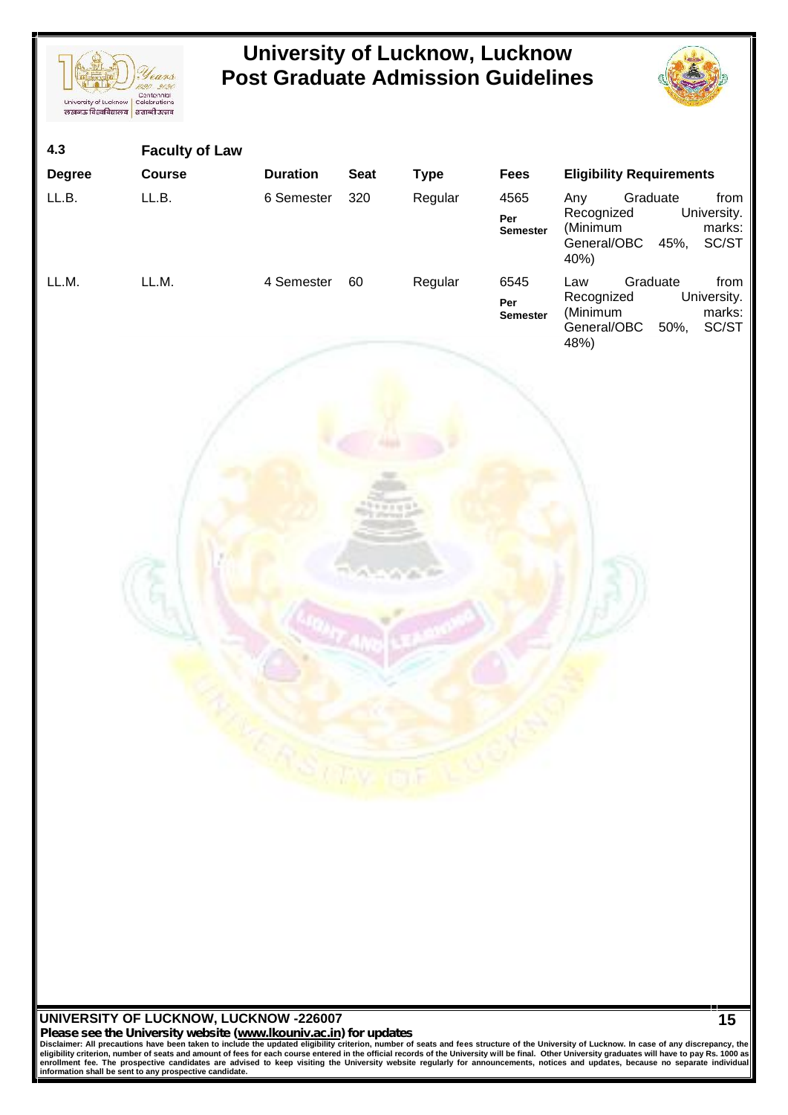



| 4.3<br>Degree<br>LL.B. | <b>Faculty of Law</b><br>Course<br>LL.B. | <b>Duration</b><br>6 Semester | <b>Seat</b><br>320   | <b>Type</b><br>Regular | <b>Fees</b><br>4565<br>Per<br><b>Semester</b> | <b>Eligibility Requirements</b><br>Any<br>Graduate<br>from<br>University.<br>Recognized<br>(Minimum<br>marks:<br>General/OBC<br>45%, SC/ST<br>40%) |
|------------------------|------------------------------------------|-------------------------------|----------------------|------------------------|-----------------------------------------------|----------------------------------------------------------------------------------------------------------------------------------------------------|
| LL.M.                  | LL.M.                                    | 4 Semester                    | 60<br><b>CONGRES</b> | Regular                | 6545<br>Per<br><b>Semester</b>                | Graduate<br>from<br>Law<br>Recognized<br>University.<br>(Minimum<br>marks:<br>SC/ST<br>General/OBC<br>50%,<br>48%)                                 |

Please see the University website (www.lkouniv.ac.in) for updates<br>Disclaimer: All precautions have been taken to include the updated eligibility criterion, number of seats and fees structure of the University of Lucknow. I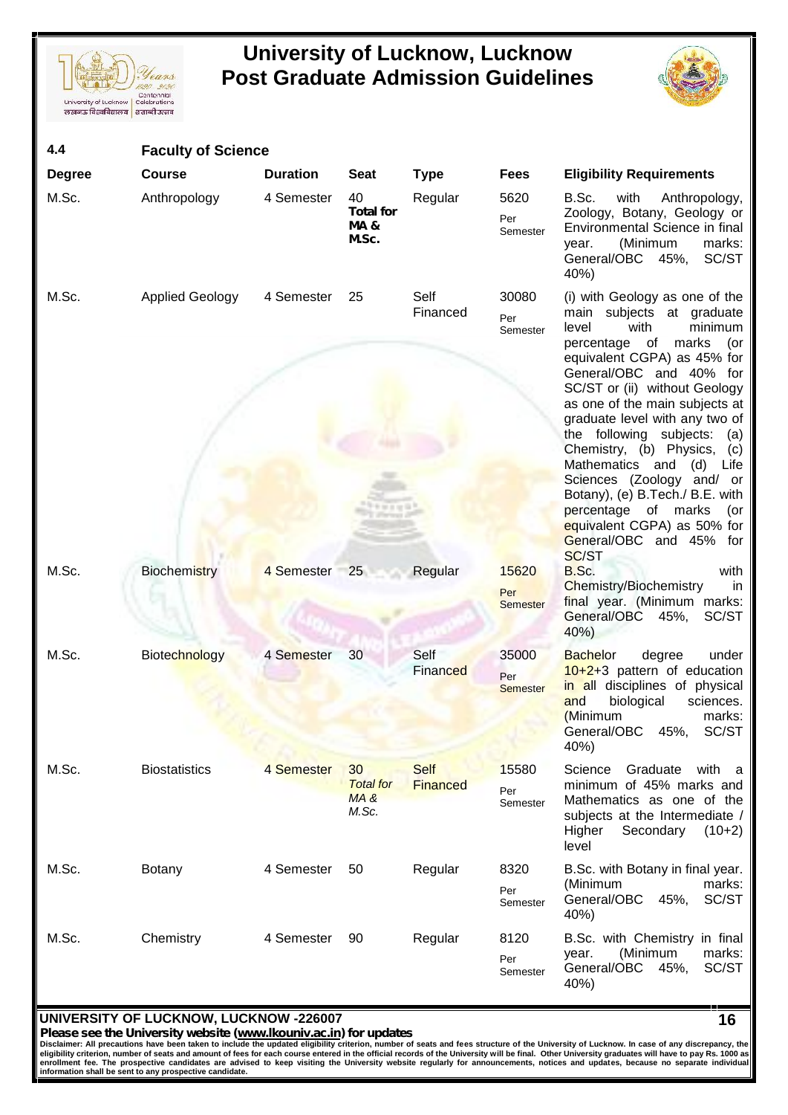



| 4.4           | <b>Faculty of Science</b> |                 |                                                   |                                |                                 |                                                                                                                                                                                                                                                                                                                                                                                                                                                                                                                                                       |
|---------------|---------------------------|-----------------|---------------------------------------------------|--------------------------------|---------------------------------|-------------------------------------------------------------------------------------------------------------------------------------------------------------------------------------------------------------------------------------------------------------------------------------------------------------------------------------------------------------------------------------------------------------------------------------------------------------------------------------------------------------------------------------------------------|
| <b>Degree</b> | <b>Course</b>             | <b>Duration</b> | <b>Seat</b>                                       | <b>Type</b>                    | <b>Fees</b>                     | <b>Eligibility Requirements</b>                                                                                                                                                                                                                                                                                                                                                                                                                                                                                                                       |
| M.Sc.         | Anthropology              | 4 Semester      | 40<br><b>Total for</b><br><b>MA&amp;</b><br>M.Sc. | Regular                        | 5620<br>Per<br>Semester         | with<br>Anthropology,<br>B.Sc.<br>Zoology, Botany, Geology or<br>Environmental Science in final<br>(Minimum<br>marks:<br>year.<br>General/OBC 45%,<br>SC/ST<br>40%)                                                                                                                                                                                                                                                                                                                                                                                   |
| M.Sc.         | <b>Applied Geology</b>    | 4 Semester      | 25                                                | Self<br>Financed               | 30080<br>Per<br>Semester        | (i) with Geology as one of the<br>main subjects at graduate<br>minimum<br>with<br>level<br>percentage of<br>marks<br>(or<br>equivalent CGPA) as 45% for<br>General/OBC and 40% for<br>SC/ST or (ii) without Geology<br>as one of the main subjects at<br>graduate level with any two of<br>the following subjects:<br>(a)<br>Chemistry, (b) Physics,<br>(c)<br>Mathematics and<br>(d)<br>Life<br>Sciences (Zoology and/ or<br>Botany), (e) B.Tech./ B.E. with<br>percentage of marks<br>(or<br>equivalent CGPA) as 50% for<br>General/OBC and 45% for |
| M.Sc.         | <b>Biochemistry</b>       | 4 Semester 25   |                                                   | Regular                        | 15620<br>Per<br><b>Semester</b> | SC/ST<br>B.Sc.<br>with<br><b>Chemistry/Biochemistry</b><br>in<br>final year. (Minimum marks:<br>General/OBC 45%,<br>SC/ST<br>40%)                                                                                                                                                                                                                                                                                                                                                                                                                     |
| M.Sc.         | <b>Biotechnology</b>      | 4 Semester      | 30                                                | Self<br>Financed               | 35000<br>Per<br><b>Semester</b> | degree<br><b>Bachelor</b><br>under<br>$10+2+3$ pattern of education<br>in all disciplines of physical<br>biological<br>and<br>sciences.<br>(Minimum<br>marks:<br>SC/ST<br>General/OBC<br>45%,<br>40%)                                                                                                                                                                                                                                                                                                                                                 |
| M.Sc.         | <b>Biostatistics</b>      | 4 Semester      | 30<br><b>Total for</b><br>MA &<br>M.Sc.           | <b>Self</b><br><b>Financed</b> | 15580<br>Per<br>Semester        | Science<br>Graduate<br>with a<br>minimum of 45% marks and<br>Mathematics as one of the<br>subjects at the Intermediate /<br>Higher<br>Secondary<br>$(10+2)$<br>level                                                                                                                                                                                                                                                                                                                                                                                  |
| M.Sc.         | Botany                    | 4 Semester      | 50                                                | Regular                        | 8320<br>Per<br>Semester         | B.Sc. with Botany in final year.<br>(Minimum<br>marks:<br>General/OBC<br>45%,<br>SC/ST<br>40%)                                                                                                                                                                                                                                                                                                                                                                                                                                                        |
| M.Sc.         | Chemistry                 | 4 Semester      | 90                                                | Regular                        | 8120<br>Per<br>Semester         | B.Sc. with Chemistry in final<br>marks:<br>(Minimum<br>year.<br>General/OBC 45%,<br>SC/ST<br>40%)                                                                                                                                                                                                                                                                                                                                                                                                                                                     |

### **UNIVERSITY OF LUCKNOW, LUCKNOW -226007**

Please see the University website (www.lkouniv.ac.in) for updates<br>Disclaimer: All precautions have been taken to include the updated eligibility criterion, number of seats and fees structure of the University of Lucknow. I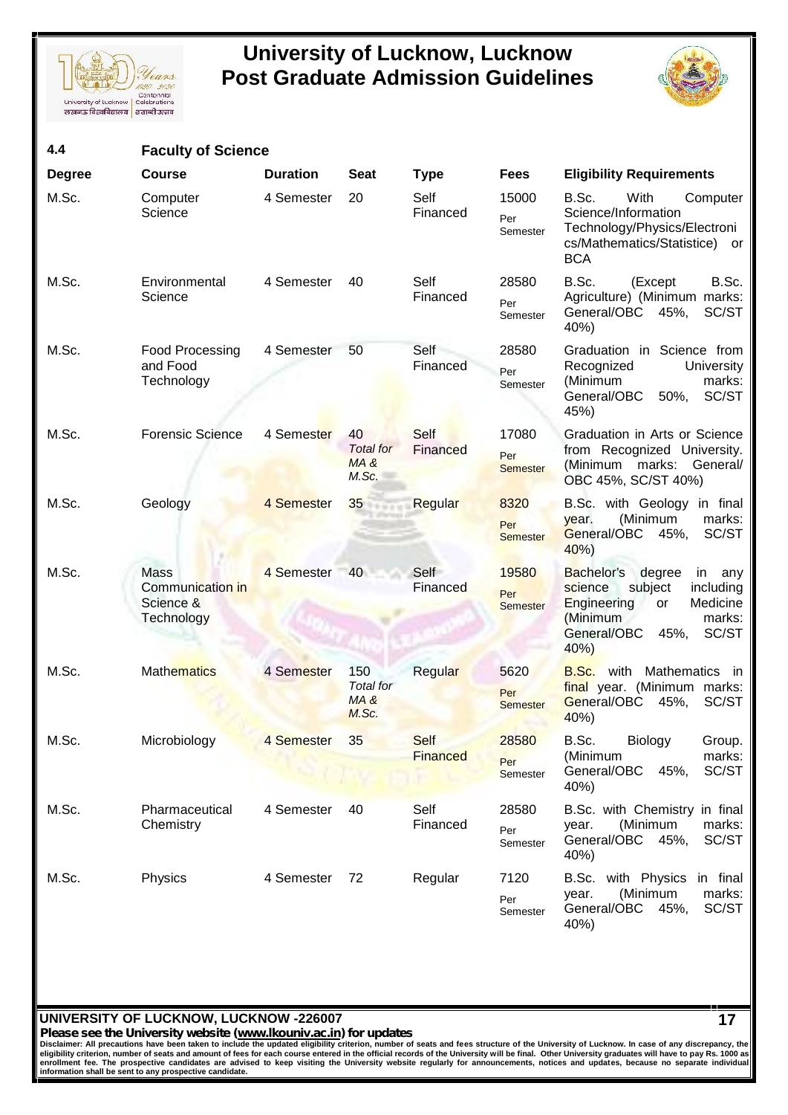



| 4.4           | <b>Faculty of Science</b>                           |                 |                                          |                         |                                 |                                                                                                                                                                 |
|---------------|-----------------------------------------------------|-----------------|------------------------------------------|-------------------------|---------------------------------|-----------------------------------------------------------------------------------------------------------------------------------------------------------------|
| <b>Degree</b> | <b>Course</b>                                       | <b>Duration</b> | <b>Seat</b>                              | <b>Type</b>             | <b>Fees</b>                     | <b>Eligibility Requirements</b>                                                                                                                                 |
| M.Sc.         | Computer<br>Science                                 | 4 Semester      | 20                                       | Self<br>Financed        | 15000<br>Per<br>Semester        | B.Sc.<br>With<br>Computer<br>Science/Information<br>Technology/Physics/Electroni<br>cs/Mathematics/Statistice) or<br><b>BCA</b>                                 |
| M.Sc.         | Environmental<br>Science                            | 4 Semester      | 40                                       | Self<br>Financed        | 28580<br>Per<br>Semester        | B.Sc.<br>B.Sc.<br>(Except<br>Agriculture) (Minimum marks:<br>General/OBC 45%,<br>SC/ST<br>40%)                                                                  |
| M.Sc.         | Food Processing<br>and Food<br>Technology           | 4 Semester      | 50                                       | Self<br>Financed        | 28580<br>Per<br>Semester        | Graduation in Science from<br>Recognized<br><b>University</b><br>(Minimum<br>marks:<br>General/OBC<br>50%,<br>SC/ST<br>45%)                                     |
| M.Sc.         | <b>Forensic Science</b>                             | 4 Semester      | 40<br><b>Total</b> for<br>MA&<br>M.Sc.   | Self<br>Financed        | 17080<br>Per<br><b>Semester</b> | Graduation in Arts or Science<br>from Recognized University.<br>(Minimum marks: General/<br>OBC 45%, SC/ST 40%)                                                 |
| M.Sc.         | Geology                                             | 4 Semester      | 35                                       | Regular                 | 8320<br>Per<br><b>Semester</b>  | B.Sc. with Geology in final<br>(Minimum<br>marks:<br>year.<br>General/OBC 45%,<br>SC/ST<br>40%)                                                                 |
| M.Sc.         | Mass<br>Communication in<br>Science &<br>Technology | 4 Semester 40   |                                          | Self<br>Financed        | 19580<br>Per<br><b>Semester</b> | Bachelor's<br>degree<br>in any<br>subject<br>science<br>including<br>Engineering<br>Medicine<br>or<br>(Minimum<br>marks:<br>General/OBC<br>45%,<br>SC/ST<br>40% |
| M.Sc.         | <b>Mathematics</b>                                  | 4 Semester      | 150<br><b>Total</b> for<br>MA &<br>M.Sc. | Regular                 | 5620<br>Per<br><b>Semester</b>  | B.Sc.<br>with<br>Mathematics in<br>final year. (Minimum marks:<br>General/OBC<br>45%,<br>SC/ST<br>40%)                                                          |
| M.Sc.         | Microbiology                                        | 4 Semester      | 35                                       | Self<br><b>Financed</b> | 28580<br>Per<br>Semester        | B.Sc.<br>Biology<br>Group.<br>(Minimum<br>marks:<br>SC/ST<br>General/OBC<br>45%,<br>40%)                                                                        |
| M.Sc.         | Pharmaceutical<br>Chemistry                         | 4 Semester      | 40                                       | Self<br>Financed        | 28580<br>Per<br>Semester        | B.Sc. with Chemistry in final<br>(Minimum<br>marks:<br>year.<br>General/OBC 45%,<br>SC/ST<br>40%)                                                               |
| M.Sc.         | Physics                                             | 4 Semester      | 72                                       | Regular                 | 7120<br>Per<br>Semester         | B.Sc. with Physics<br>in final<br>marks:<br>(Minimum<br>year.<br>General/OBC 45%,<br>SC/ST<br>40%)                                                              |

### **UNIVERSITY OF LUCKNOW, LUCKNOW -226007**

*Please see the University website (www.lkouniv.ac.in) for updates* **17**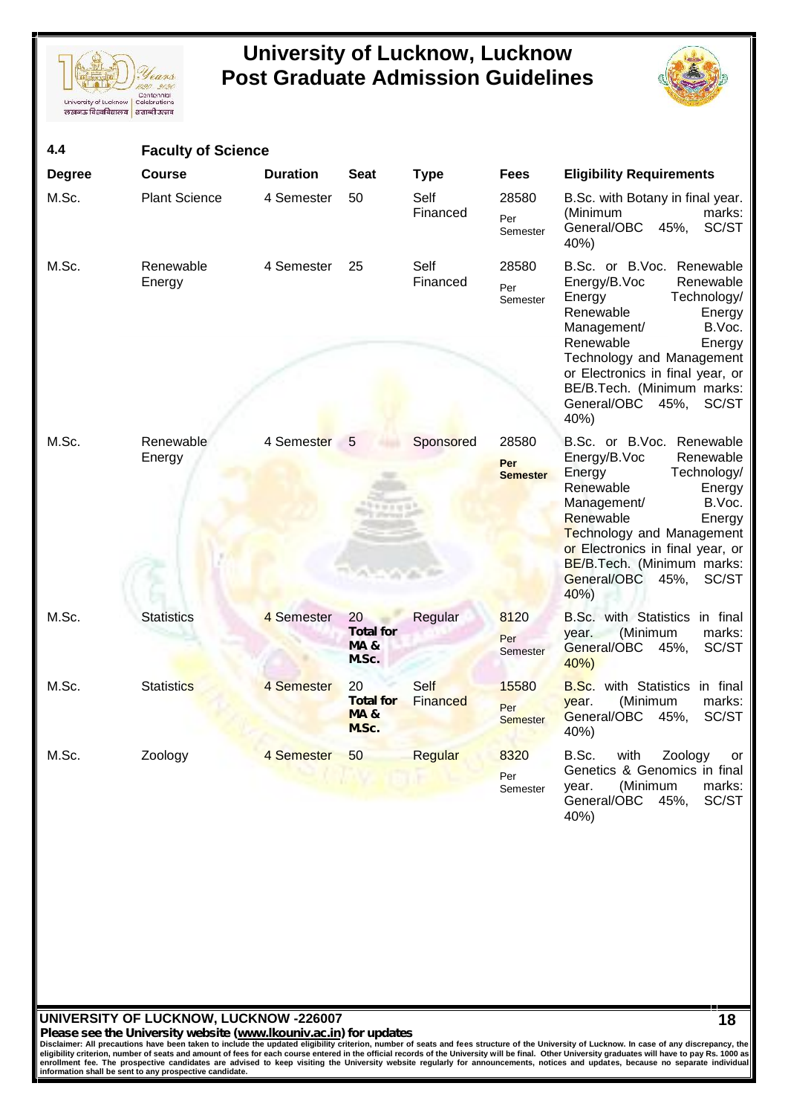



| 4.4           | <b>Faculty of Science</b> |                 |                                                                |                  |                                 |                                                                                                                                                                                                                                                                                                            |
|---------------|---------------------------|-----------------|----------------------------------------------------------------|------------------|---------------------------------|------------------------------------------------------------------------------------------------------------------------------------------------------------------------------------------------------------------------------------------------------------------------------------------------------------|
| <b>Degree</b> | <b>Course</b>             | <b>Duration</b> | <b>Seat</b>                                                    | <b>Type</b>      | <b>Fees</b>                     | <b>Eligibility Requirements</b>                                                                                                                                                                                                                                                                            |
| M.Sc.         | <b>Plant Science</b>      | 4 Semester      | 50                                                             | Self<br>Financed | 28580<br>Per<br>Semester        | B.Sc. with Botany in final year.<br>(Minimum<br>marks:<br>General/OBC<br>SC/ST<br>45%,<br>40%)                                                                                                                                                                                                             |
| M.Sc.         | Renewable<br>Energy       | 4 Semester      | 25                                                             | Self<br>Financed | 28580<br>Per<br>Semester        | B.Sc. or B.Voc. Renewable<br>Energy/B.Voc<br>Renewable<br>Energy<br>Technology/<br>Renewable<br>Energy<br>Management/<br>B.Voc.<br>Renewable<br>Energy<br>Technology and Management<br>or Electronics in final year, or<br>BE/B.Tech. (Minimum marks:<br>General/OBC<br>45%,<br>SC/ST<br>40%)              |
| M.Sc.         | Renewable<br>Energy       | 4 Semester 5    |                                                                | Sponsored        | 28580<br>Per<br><b>Semester</b> | B.Sc. or B.Voc. Renewable<br>Energy/B.Voc<br>Renewable<br>Technology/<br>Energy<br>Renewable<br>Energy<br>B.Voc.<br>Management/<br>Renewable<br>Energy<br><b>Technology and Management</b><br>or Electronics in final year, or<br><b>BE/B.Tech.</b> (Minimum marks:<br>General/OBC<br>45%,<br>SC/ST<br>40% |
| M.Sc.         | <b>Statistics</b>         | 4 Semester      | 20 <sup>°</sup><br><b>Total for</b><br><b>MA&amp;</b><br>M.Sc. | Regular          | 8120<br>Per<br>Semester         | B.Sc. with Statistics in final<br>(Minimum<br>year.<br>marks:<br>General/OBC<br>45%,<br>SC/ST<br>40%                                                                                                                                                                                                       |
| M.Sc.         | <b>Statistics</b>         | 4 Semester      | 20<br><b>Total for</b><br><b>MA&amp;</b><br>M.Sc.              | Self<br>Financed | 15580<br>Per<br><b>Semester</b> | B.Sc. with Statistics in final<br>(Minimum<br>year.<br>marks:<br>General/OBC<br>45%,<br>SC/ST<br>40%                                                                                                                                                                                                       |
| M.Sc.         | Zoology                   | 4 Semester      | 50                                                             | Regular          | 8320<br>Per<br>Semester         | B.Sc.<br>Zoology<br>with<br>or<br>Genetics & Genomics in final<br>(Minimum<br>marks:<br>year.<br>General/OBC 45%,<br>SC/ST<br>40%)                                                                                                                                                                         |

### **UNIVERSITY OF LUCKNOW, LUCKNOW -226007**

*Please see the University website (www.lkouniv.ac.in) for updates* **18**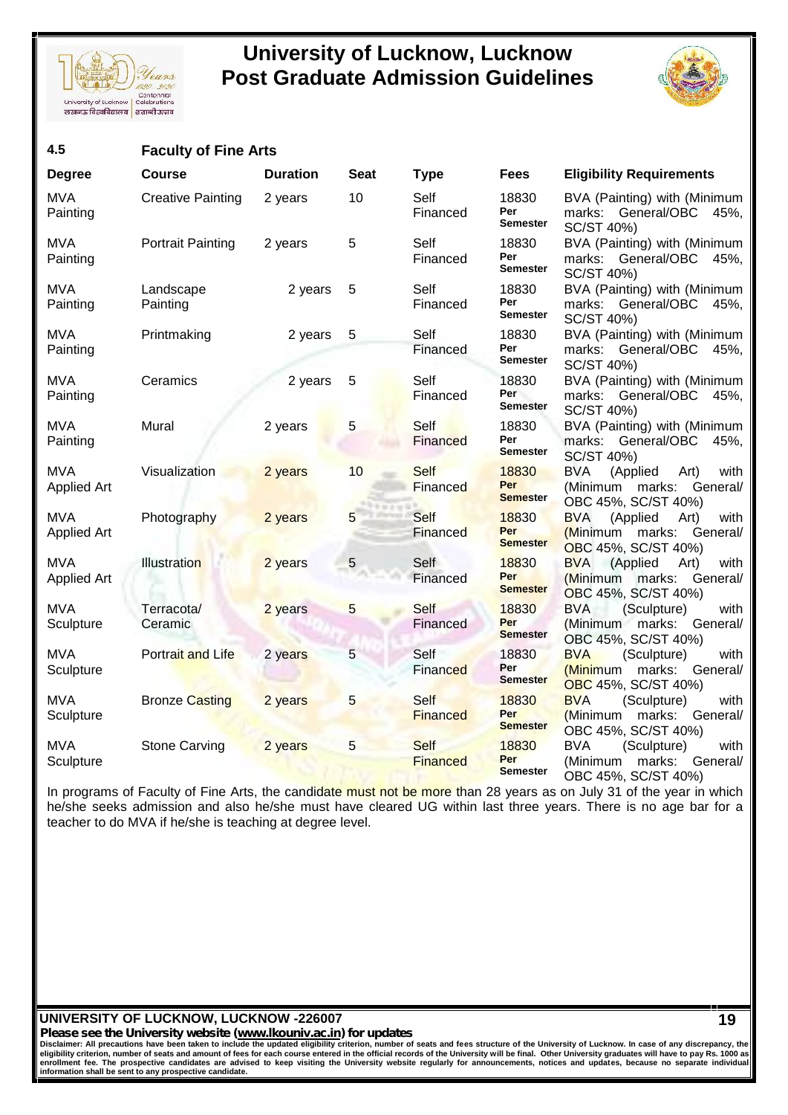



| 4.5                              | <b>Faculty of Fine Arts</b> |                 |                |                         |                                 |                                                                                              |
|----------------------------------|-----------------------------|-----------------|----------------|-------------------------|---------------------------------|----------------------------------------------------------------------------------------------|
| <b>Degree</b>                    | Course                      | <b>Duration</b> | <b>Seat</b>    | <b>Type</b>             | <b>Fees</b>                     | <b>Eligibility Requirements</b>                                                              |
| <b>MVA</b><br>Painting           | <b>Creative Painting</b>    | 2 years         | 10             | Self<br>Financed        | 18830<br>Per<br><b>Semester</b> | BVA (Painting) with (Minimum<br>marks: General/OBC<br>45%,<br>SC/ST 40%)                     |
| <b>MVA</b><br>Painting           | <b>Portrait Painting</b>    | 2 years         | 5              | Self<br>Financed        | 18830<br>Per<br>Semester        | BVA (Painting) with (Minimum<br>marks: General/OBC<br>45%,<br>SC/ST 40%)                     |
| <b>MVA</b><br>Painting           | Landscape<br>Painting       | 2 years         | 5              | Self<br>Financed        | 18830<br>Per<br><b>Semester</b> | BVA (Painting) with (Minimum<br>marks: General/OBC<br>45%,<br>SC/ST 40%)                     |
| <b>MVA</b><br>Painting           | Printmaking                 | 2 years         | 5              | Self<br>Financed        | 18830<br>Per<br>Semester        | BVA (Painting) with (Minimum<br>marks: General/OBC<br>45%,<br>SC/ST 40%)                     |
| <b>MVA</b><br>Painting           | Ceramics                    | 2 years         | 5              | Self<br>Financed        | 18830<br>Per<br>Semester        | BVA (Painting) with (Minimum<br>marks: General/OBC<br>45%,<br>SC/ST 40%)                     |
| <b>MVA</b><br>Painting           | Mural                       | 2 years         | 5              | Self<br>Financed        | 18830<br>Per<br><b>Semester</b> | BVA (Painting) with (Minimum<br>marks: General/OBC<br>45%,<br>SC/ST 40%)                     |
| <b>MVA</b><br><b>Applied Art</b> | Visualization               | 2 years         | 10             | Self<br>Financed        | 18830<br>Per<br><b>Semester</b> | <b>BVA</b><br>(Applied<br>Art)<br>with<br>(Minimum marks:<br>General/<br>OBC 45%, SC/ST 40%) |
| <b>MVA</b><br><b>Applied Art</b> | Photography                 | 2 years         | 5              | <b>Self</b><br>Financed | 18830<br>Per<br><b>Semester</b> | <b>BVA</b><br>with<br>(Applied<br>Art)<br>(Minimum marks: General/<br>OBC 45%, SC/ST 40%)    |
| <b>MVA</b><br><b>Applied Art</b> | <b>Illustration</b>         | 2 years         | 5              | Self<br>Financed        | 18830<br>Per<br><b>Semester</b> | <b>BVA</b> (Applied<br>Art)<br>with<br>(Minimum marks:<br>General/<br>OBC 45%, SC/ST 40%)    |
| <b>MVA</b><br>Sculpture          | Terracota/<br>Ceramic       | 2 years         | 5              | Self<br>Financed        | 18830<br>Per<br><b>Semester</b> | <b>BVA</b><br>(Sculpture)<br>with<br>(Minimum marks:<br>General/<br>OBC 45%, SC/ST 40%)      |
| <b>MVA</b><br>Sculpture          | Portrait and Life           | 2 years         | 5              | Self<br>Financed        | 18830<br>Per<br><b>Semester</b> | <b>BVA</b><br>(Sculpture)<br>with<br>(Minimum marks: General/<br>OBC 45%, SC/ST 40%)         |
| <b>MVA</b><br>Sculpture          | <b>Bronze Casting</b>       | 2 years         | 5 <sup>5</sup> | Self<br><b>Financed</b> | 18830<br>Per<br><b>Semester</b> | <b>BVA</b><br>(Sculpture)<br>with<br>(Minimum marks: General/<br>OBC 45%, SC/ST 40%)         |
| <b>MVA</b><br>Sculpture          | <b>Stone Carving</b>        | 2 years         | 5              | Self<br><b>Financed</b> | 18830<br>Per<br><b>Semester</b> | <b>BVA</b><br>(Sculpture)<br>with<br>(Minimum marks:<br>General/<br>OBC 45%, SC/ST 40%)      |

In programs of Faculty of Fine Arts, the candidate must not be more than 28 years as on July 31 of the year in which he/she seeks admission and also he/she must have cleared UG within last three years. There is no age bar for a teacher to do MVA if he/she is teaching at degree level.

**UNIVERSITY OF LUCKNOW, LUCKNOW -226007**

*Please see the University website (www.lkouniv.ac.in) for updates* **19**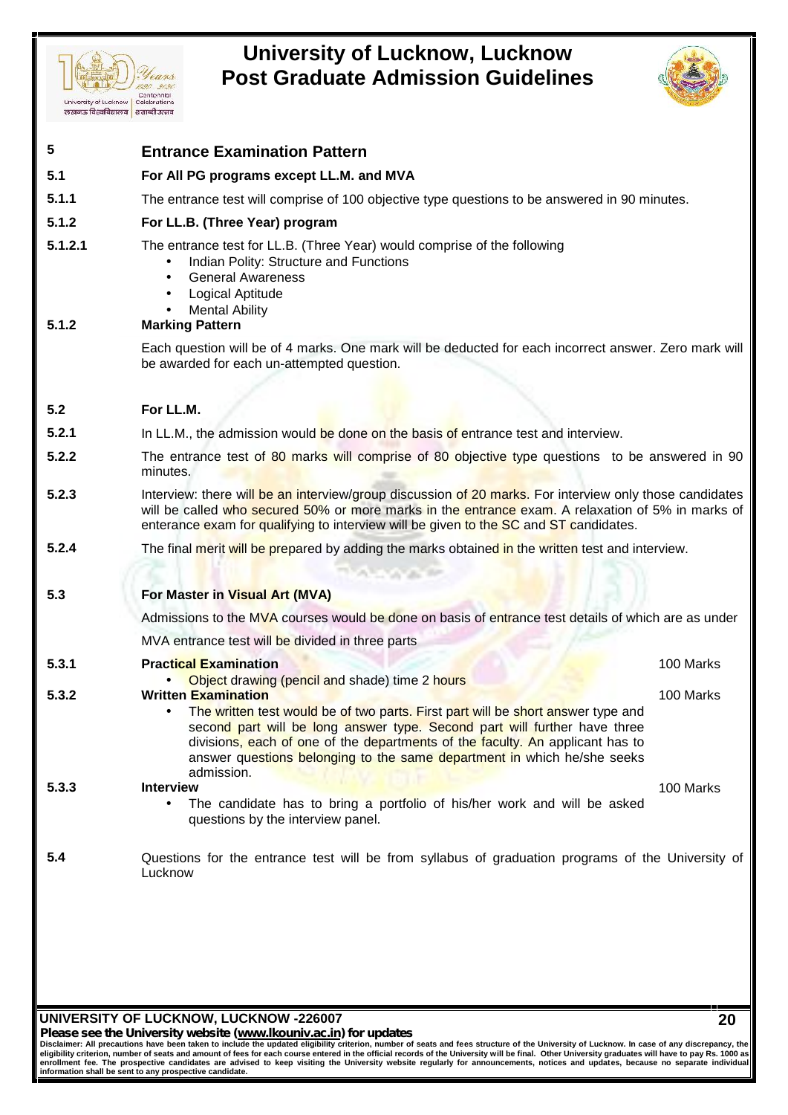



| 5                     | <b>Entrance Examination Pattern</b>                                                                                                                                                                                                                                                                                                                     |           |  |  |  |  |
|-----------------------|---------------------------------------------------------------------------------------------------------------------------------------------------------------------------------------------------------------------------------------------------------------------------------------------------------------------------------------------------------|-----------|--|--|--|--|
| 5.1                   | For All PG programs except LL.M. and MVA                                                                                                                                                                                                                                                                                                                |           |  |  |  |  |
| 5.1.1                 | The entrance test will comprise of 100 objective type questions to be answered in 90 minutes.                                                                                                                                                                                                                                                           |           |  |  |  |  |
| 5.1.2                 | For LL.B. (Three Year) program                                                                                                                                                                                                                                                                                                                          |           |  |  |  |  |
| 5.1.2.1<br>5.1.2      | The entrance test for LL.B. (Three Year) would comprise of the following<br>Indian Polity: Structure and Functions<br>$\bullet$<br><b>General Awareness</b><br>$\bullet$<br>Logical Aptitude<br>$\bullet$<br><b>Mental Ability</b><br>$\bullet$                                                                                                         |           |  |  |  |  |
|                       | <b>Marking Pattern</b><br>Each question will be of 4 marks. One mark will be deducted for each incorrect answer. Zero mark will                                                                                                                                                                                                                         |           |  |  |  |  |
|                       | be awarded for each un-attempted question.                                                                                                                                                                                                                                                                                                              |           |  |  |  |  |
|                       |                                                                                                                                                                                                                                                                                                                                                         |           |  |  |  |  |
| 5.2                   | For LL.M.                                                                                                                                                                                                                                                                                                                                               |           |  |  |  |  |
| 5.2.1                 | In LL.M., the admission would be done on the basis of entrance test and interview.                                                                                                                                                                                                                                                                      |           |  |  |  |  |
| 5.2.2                 | The entrance test of 80 marks will comprise of 80 objective type questions to be answered in 90<br>minutes.                                                                                                                                                                                                                                             |           |  |  |  |  |
| 5.2.3                 | Interview: there will be an interview/group discussion of 20 marks. For interview only those candidates<br>will be called who secured 50% or more marks in the entrance exam. A relaxation of 5% in marks of<br>enterance exam for qualifying to interview will be given to the SC and ST candidates.                                                   |           |  |  |  |  |
|                       |                                                                                                                                                                                                                                                                                                                                                         |           |  |  |  |  |
|                       | The final merit will be prepared by adding the marks obtained in the written test and interview.<br><b>TIGHT OF THE</b>                                                                                                                                                                                                                                 |           |  |  |  |  |
|                       | For Master in Visual Art (MVA)                                                                                                                                                                                                                                                                                                                          |           |  |  |  |  |
|                       | Admissions to the MVA courses would be done on basis of entrance test details of which are as under                                                                                                                                                                                                                                                     |           |  |  |  |  |
|                       | MVA entrance test will be divided in three parts                                                                                                                                                                                                                                                                                                        |           |  |  |  |  |
|                       | <b>Practical Examination</b>                                                                                                                                                                                                                                                                                                                            | 100 Marks |  |  |  |  |
| 5.2.4<br>5.3<br>5.3.1 | Object drawing (pencil and shade) time 2 hours                                                                                                                                                                                                                                                                                                          |           |  |  |  |  |
| 5.3.2                 | <b>Written Examination</b><br>The written test would be of two parts. First part will be short answer type and<br>second part will be long answer type. Second part will further have three<br>divisions, each of one of the departments of the faculty. An applicant has to<br>answer questions belonging to the same department in which he/she seeks | 100 Marks |  |  |  |  |
| 5.3.3                 | admission.<br><b>Interview</b><br>The candidate has to bring a portfolio of his/her work and will be asked<br>$\bullet$<br>questions by the interview panel.                                                                                                                                                                                            | 100 Marks |  |  |  |  |

**UNIVERSITY OF LUCKNOW, LUCKNOW -226007**

*Please see the University website (www.lkouniv.ac.in) for updates* **20**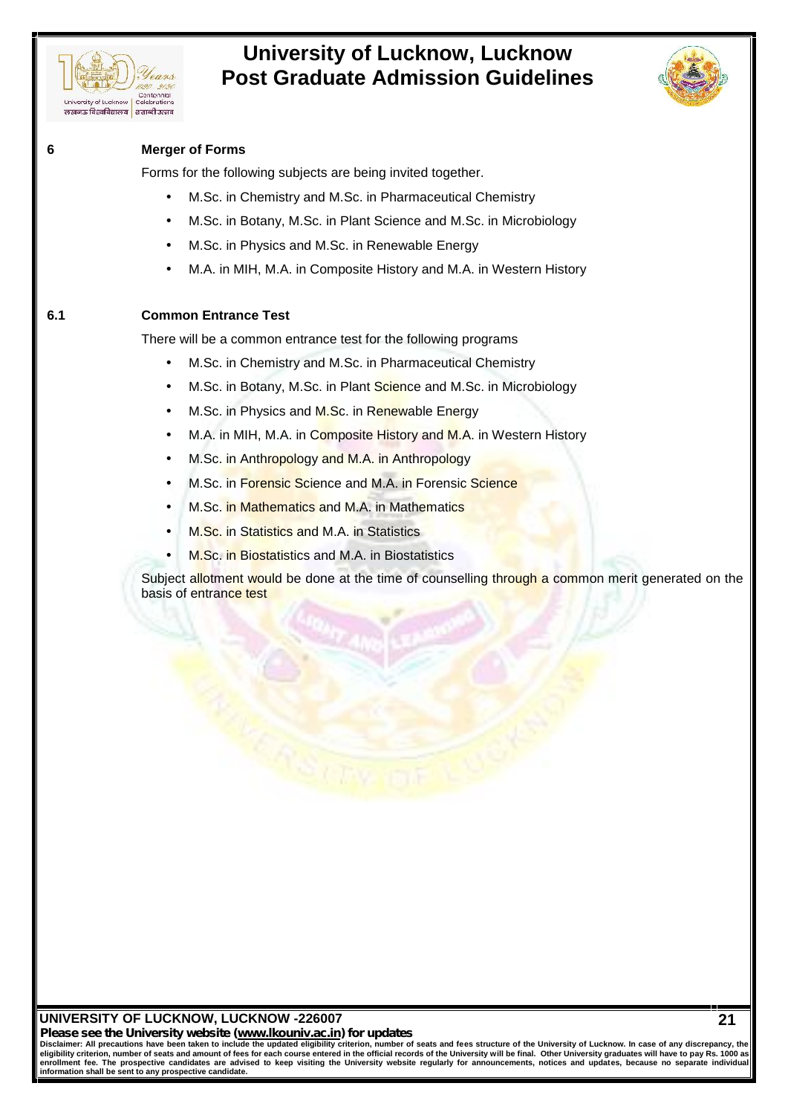



### **6 Merger of Forms**

Forms for the following subjects are being invited together.

- M.Sc. in Chemistry and M.Sc. in Pharmaceutical Chemistry
- M.Sc. in Botany, M.Sc. in Plant Science and M.Sc. in Microbiology
- M.Sc. in Physics and M.Sc. in Renewable Energy
- M.A. in MIH, M.A. in Composite History and M.A. in Western History

### **6.1 Common Entrance Test**

There will be a common entrance test for the following programs

- M.Sc. in Chemistry and M.Sc. in Pharmaceutical Chemistry
- M.Sc. in Botany, M.Sc. in Plant Science and M.Sc. in Microbiology
- M.Sc. in Physics and M.Sc. in Renewable Energy
- M.A. in MIH, M.A. in Composite History and M.A. in Western History
- M.Sc. in Anthropology and M.A. in Anthropology
- M.Sc. in Forensic Science and M.A. in Forensic Science
- M.Sc. in Mathematics and M.A. in Mathematics
- M.Sc. in Statistics and M.A. in Statistics
- M.Sc. in Biostatistics and M.A. in Biostatistics

Subject allotment would be done at the time of counselling through a common merit generated on the basis of entrance test

### **UNIVERSITY OF LUCKNOW, LUCKNOW -226007**

*Please see the University website (www.lkouniv.ac.in) for updates*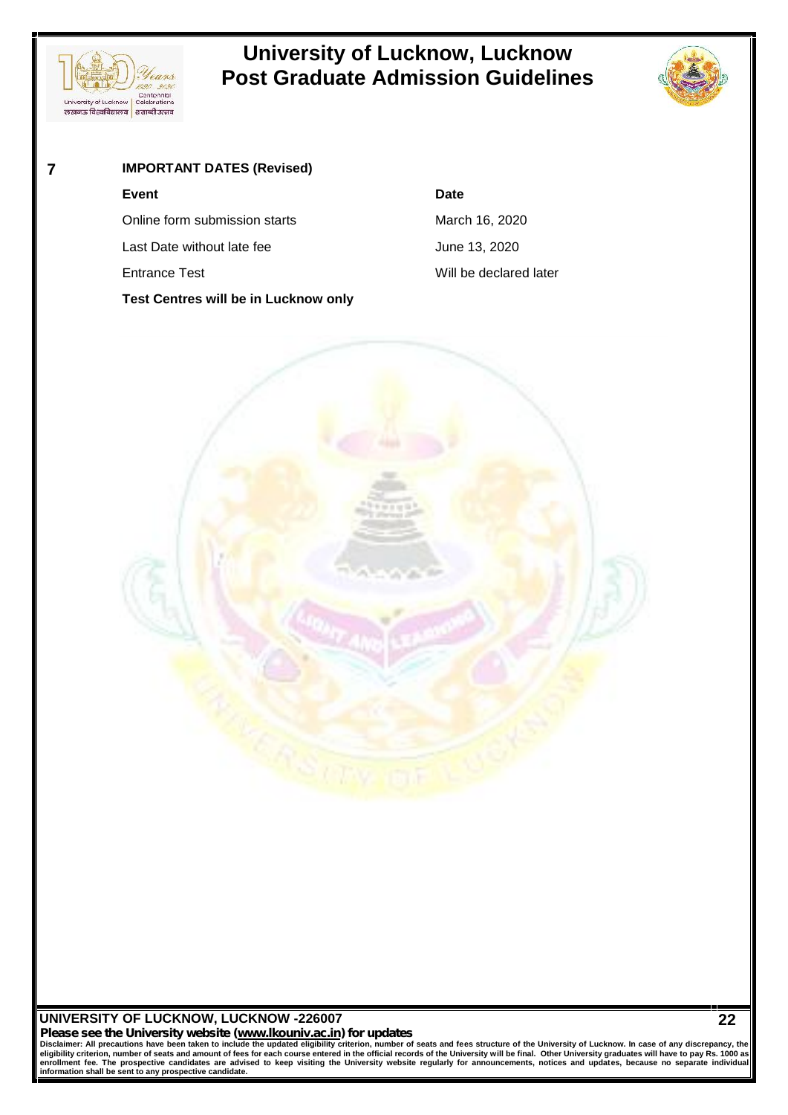



### **7 IMPORTANT DATES (Revised)**

### **Event Date**

Online form submission starts March 16, 2020

Last Date without late fee June 13, 2020

**Test Centres will be in Lucknow only**

Entrance Test **Entrance Test** Will be declared later



### **UNIVERSITY OF LUCKNOW, LUCKNOW -226007**

*Please see the University website (www.lkouniv.ac.in) for updates* **22**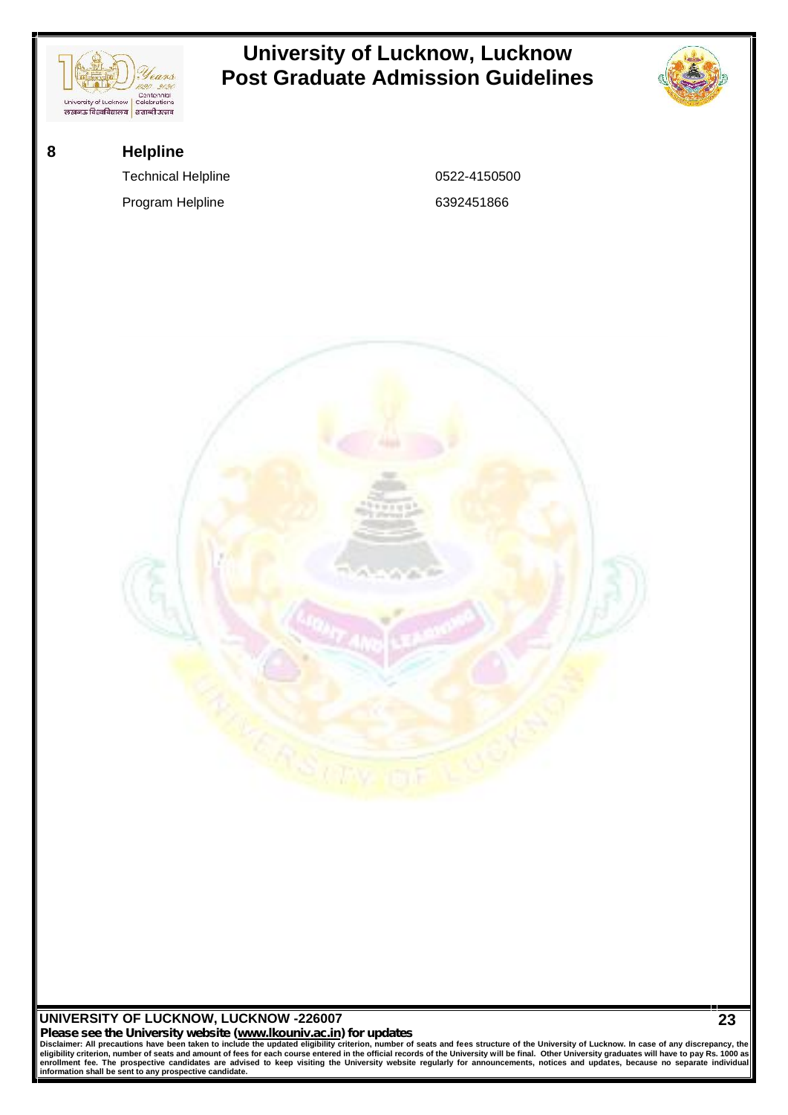

Please see the University website (www.lkouniv.ac.in) for updates<br>Disclaimer: All precautions have been taken to include the updated eligibility criterion, number of seats and fees structure of the University of Lucknow. I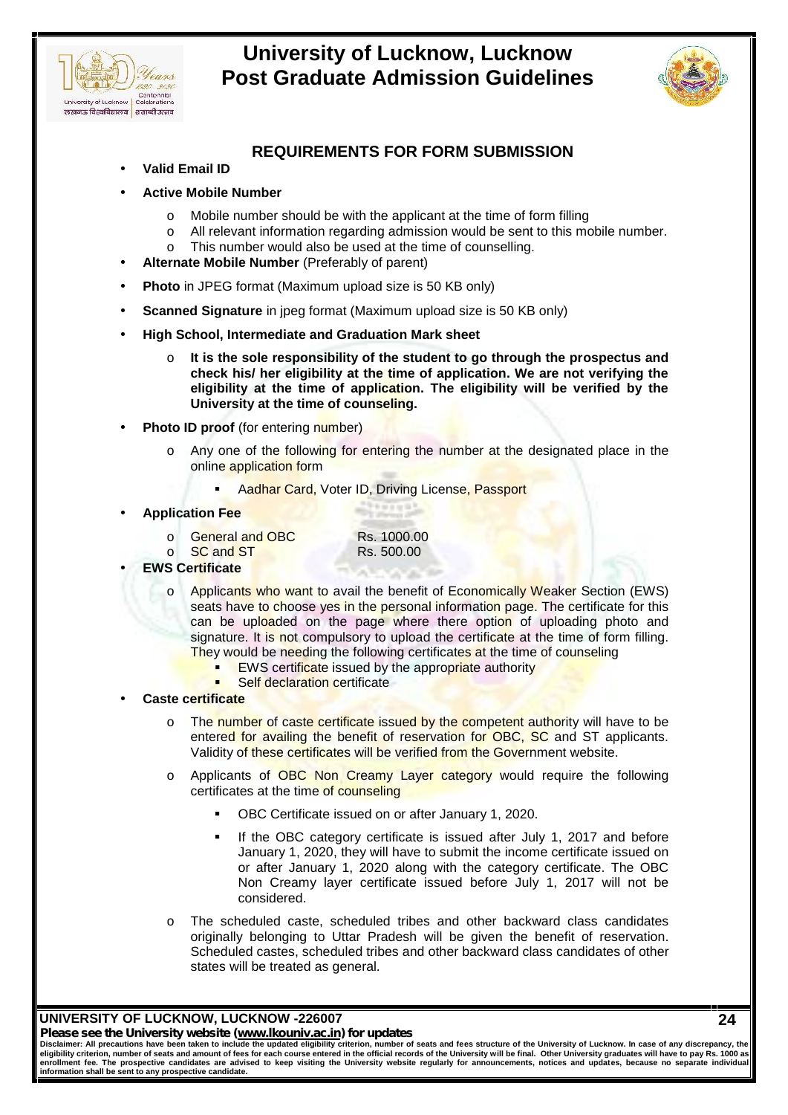



**24**

### **REQUIREMENTS FOR FORM SUBMISSION**

- **Valid Email ID**
- **Active Mobile Number**
	- o Mobile number should be with the applicant at the time of form filling
	- o All relevant information regarding admission would be sent to this mobile number.
	- o This number would also be used at the time of counselling.
- **Alternate Mobile Number** (Preferably of parent)
- **Photo** in JPEG format (Maximum upload size is 50 KB only)
- **Scanned Signature** in jpeg format (Maximum upload size is 50 KB only)
- **High School, Intermediate and Graduation Mark sheet**
	- o **It is the sole responsibility of the student to go through the prospectus and check his/ her eligibility at the time of application. We are not verifying the eligibility at the time of application. The eligibility will be verified by the University at the time of counseling.**
- **Photo ID proof** (for entering number)
	- Any one of the following for entering the number at the designated place in the online application form
		- Aadhar Card, Voter ID, Driving License, Passport
- **Application Fee**
	- o General and OBC Rs. 1000.00

o SC and ST Rs. 500.00

- **EWS Certificate**
	- o Applicants who want to avail the benefit of Economically Weaker Section (EWS) seats have to choose yes in the personal information page. The certificate for this can be uploaded on the page where there option of uploading photo and signature. It is not compulsory to upload the certificate at the time of form filling. They would be needing the following certificates at the time of counseling
		- **EWS certificate issued by the appropriate authority**
		- Self declaration certificate
- **Caste certificate**
	- o The number of caste certificate issued by the competent authority will have to be entered for availing the benefit of reservation for OBC, SC and ST applicants. Validity of these certificates will be verified from the Government website.
	- Applicants of OBC Non Creamy Layer category would require the following certificates at the time of counseling
		- OBC Certificate issued on or after January 1, 2020.
		- If the OBC category certificate is issued after July 1, 2017 and before January 1, 2020, they will have to submit the income certificate issued on or after January 1, 2020 along with the category certificate. The OBC Non Creamy layer certificate issued before July 1, 2017 will not be considered.
	- o The scheduled caste, scheduled tribes and other backward class candidates originally belonging to Uttar Pradesh will be given the benefit of reservation. Scheduled castes, scheduled tribes and other backward class candidates of other states will be treated as general.

**UNIVERSITY OF LUCKNOW, LUCKNOW -226007**

*Please see the University website (www.lkouniv.ac.in) for updates*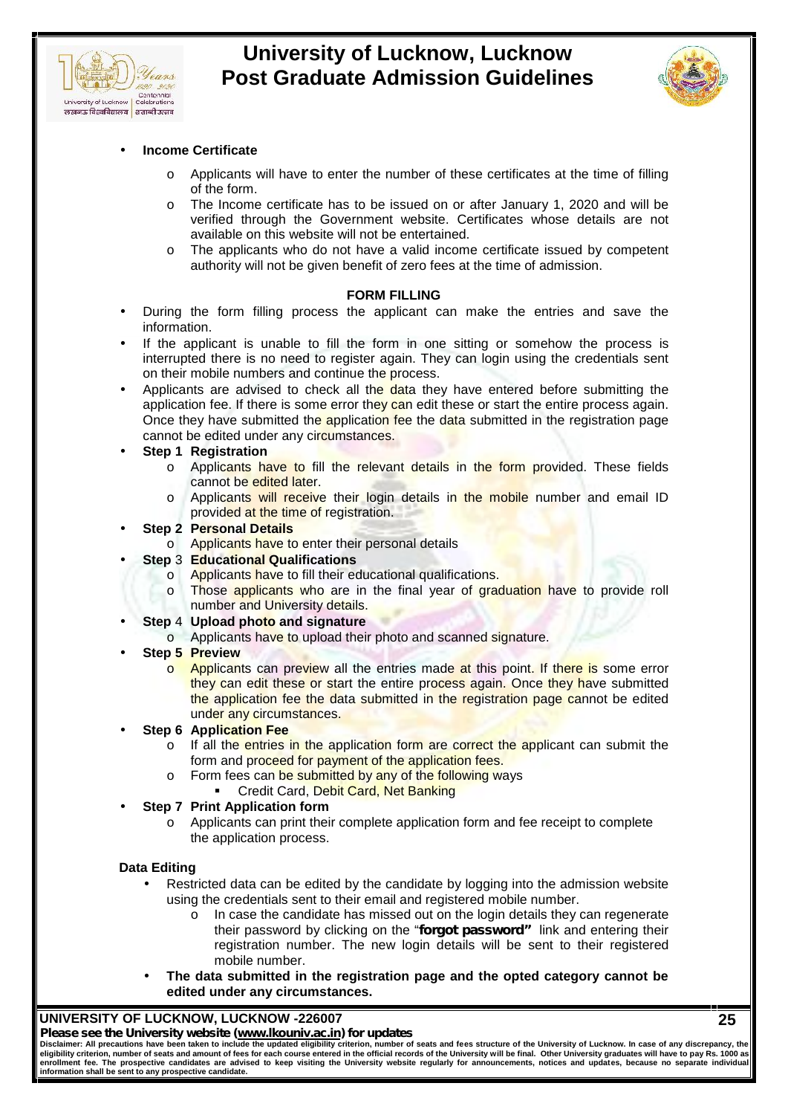



### **Income Certificate**

- o Applicants will have to enter the number of these certificates at the time of filling of the form.
- o The Income certificate has to be issued on or after January 1, 2020 and will be verified through the Government website. Certificates whose details are not available on this website will not be entertained.
- o The applicants who do not have a valid income certificate issued by competent authority will not be given benefit of zero fees at the time of admission.

### **FORM FILLING**

- During the form filling process the applicant can make the entries and save the information.
- If the applicant is unable to fill the form in one sitting or somehow the process is interrupted there is no need to register again. They can login using the credentials sent on their mobile numbers and continue the process.
- Applicants are advised to check all the data they have entered before submitting the application fee. If there is some error they can edit these or start the entire process again. Once they have submitted the application fee the data submitted in the registration page cannot be edited under any circumstances.

### **Step 1 Registration**

- o Applicants have to fill the relevant details in the form provided. These fields cannot be edited later.
- $\circ$  Applicants will receive their login details in the mobile number and email ID provided at the time of registration.

### **Step 2 Personal Details**

- o Applicants have to enter their personal details
- **Step** 3 **Educational Qualifications**
	- o Applicants have to fill their educational qualifications.
		- Those applicants who are in the final year of graduation have to provide roll number and University details.
	- **Step** 4 **Upload photo and signature**
		- o Applicants have to upload their photo and scanned signature.

### **Step 5 Preview**

- o **Applicants can preview all the entries made at this point. If there is some error** they can edit these or start the entire process again. Once they have submitted the application fee the data submitted in the registration page cannot be edited under any circumstances.
- **Step 6 Application Fee**
	- o If all the entries in the application form are correct the applicant can submit the form and proceed for payment of the application fees.
	- o Form fees can be submitted by any of the following ways
		- Credit Card, Debit Card, Net Banking
- **Step 7 Print Application form**
	- o Applicants can print their complete application form and fee receipt to complete the application process.

### **Data Editing**

- Restricted data can be edited by the candidate by logging into the admission website using the credentials sent to their email and registered mobile number.
	- o In case the candidate has missed out on the login details they can regenerate their password by clicking on the "*forgot password"* link and entering their registration number. The new login details will be sent to their registered mobile number.
- **The data submitted in the registration page and the opted category cannot be edited under any circumstances.**

### **UNIVERSITY OF LUCKNOW, LUCKNOW -226007**

### *Please see the University website (www.lkouniv.ac.in) for updates*